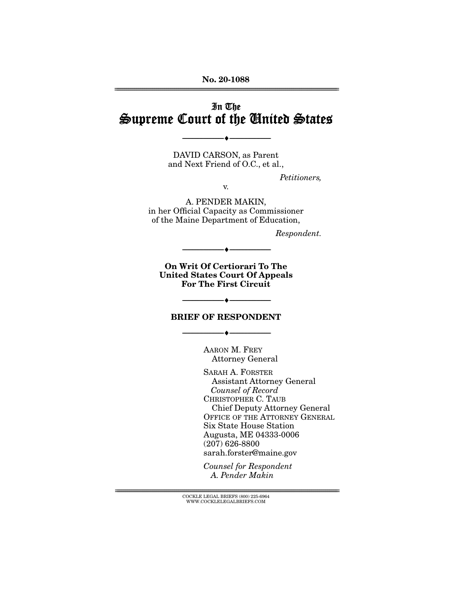**No. 20-1088**  ================================================================================================================

# In The Supreme Court of the United States

DAVID CARSON, as Parent and Next Friend of O.C., et al.,

--------------------------------- ♦ ---------------------------------

Petitioners,

v.

A. PENDER MAKIN, in her Official Capacity as Commissioner of the Maine Department of Education,

Respondent.

**On Writ Of Certiorari To The United States Court Of Appeals For The First Circuit** 

 $-\bullet$   $-$ 

### **BRIEF OF RESPONDENT**

--------------------------------- ♦ ---------------------------------

--------------------------------- ♦ ---------------------------------

AARON M. FREY Attorney General

SARAH A. FORSTER Assistant Attorney General Counsel of Record CHRISTOPHER C. TAUB Chief Deputy Attorney General OFFICE OF THE ATTORNEY GENERAL Six State House Station Augusta, ME 04333-0006 (207) 626-8800 sarah.forster@maine.gov

Counsel for Respondent A. Pender Makin

 ${ \rm COCKLE}$  LEGAL BRIEFS (800) 225-6964 WWW.COCKLELEGALBRIEFS.COM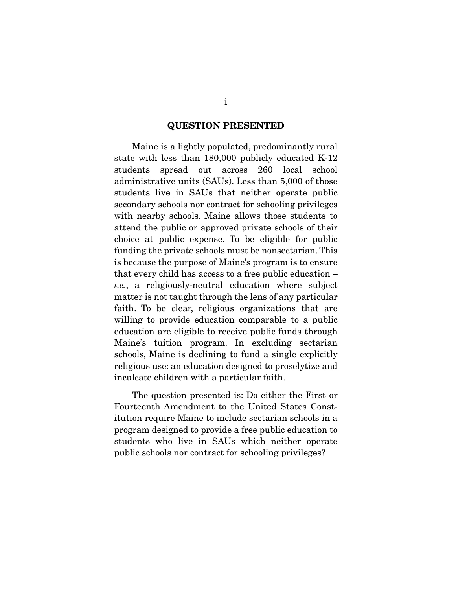#### **QUESTION PRESENTED**

 Maine is a lightly populated, predominantly rural state with less than 180,000 publicly educated K-12 students spread out across 260 local school administrative units (SAUs). Less than 5,000 of those students live in SAUs that neither operate public secondary schools nor contract for schooling privileges with nearby schools. Maine allows those students to attend the public or approved private schools of their choice at public expense. To be eligible for public funding the private schools must be nonsectarian. This is because the purpose of Maine's program is to ensure that every child has access to a free public education – i.e., a religiously-neutral education where subject matter is not taught through the lens of any particular faith. To be clear, religious organizations that are willing to provide education comparable to a public education are eligible to receive public funds through Maine's tuition program. In excluding sectarian schools, Maine is declining to fund a single explicitly religious use: an education designed to proselytize and inculcate children with a particular faith.

 The question presented is: Do either the First or Fourteenth Amendment to the United States Constitution require Maine to include sectarian schools in a program designed to provide a free public education to students who live in SAUs which neither operate public schools nor contract for schooling privileges?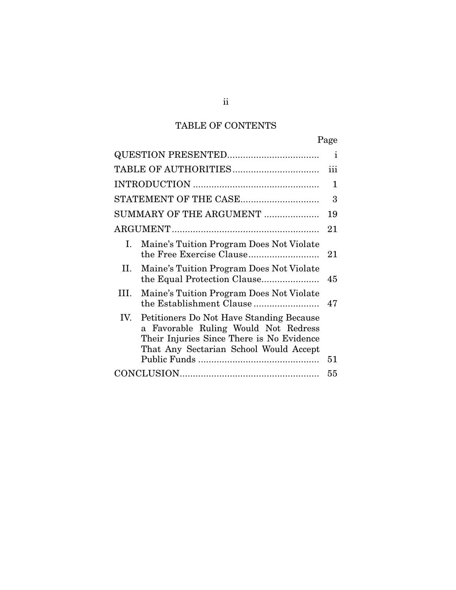# TABLE OF CONTENTS

|                                                                                                                                                                                | Page         |
|--------------------------------------------------------------------------------------------------------------------------------------------------------------------------------|--------------|
|                                                                                                                                                                                | i            |
|                                                                                                                                                                                | iii          |
|                                                                                                                                                                                | $\mathbf{1}$ |
| STATEMENT OF THE CASE                                                                                                                                                          | 3            |
| SUMMARY OF THE ARGUMENT                                                                                                                                                        | 19           |
|                                                                                                                                                                                | 21           |
| Maine's Tuition Program Does Not Violate<br>I.                                                                                                                                 | 21           |
| Maine's Tuition Program Does Not Violate<br>П.<br>the Equal Protection Clause                                                                                                  | 45           |
| III.<br>Maine's Tuition Program Does Not Violate                                                                                                                               | 47           |
| IV.<br>Petitioners Do Not Have Standing Because<br>a Favorable Ruling Would Not Redress<br>Their Injuries Since There is No Evidence<br>That Any Sectarian School Would Accept | 51           |
|                                                                                                                                                                                | 55           |

ii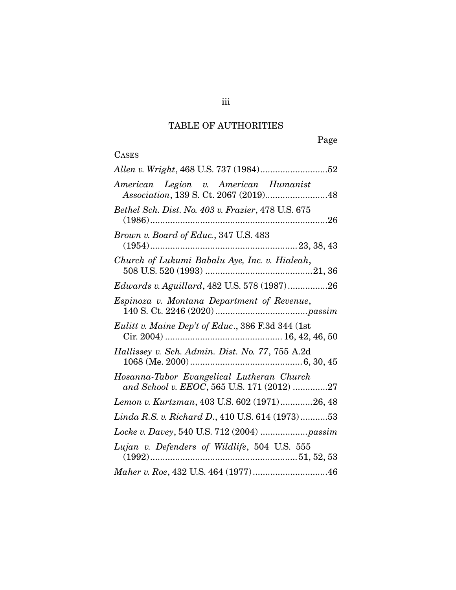# TABLE OF AUTHORITIES

Page

# **CASES**

| American Legion v. American Humanist<br>Association, 139 S. Ct. 2067 (2019)48           |
|-----------------------------------------------------------------------------------------|
| Bethel Sch. Dist. No. 403 v. Frazier, 478 U.S. 675                                      |
| Brown v. Board of Educ., 347 U.S. 483<br>$(1954) \dots 1954$                            |
| Church of Lukumi Babalu Aye, Inc. v. Hialeah,                                           |
| Edwards v. Aguillard, 482 U.S. 578 (1987)26                                             |
| Espinoza v. Montana Department of Revenue,                                              |
| Eulitt v. Maine Dep't of Educ., 386 F.3d 344 (1st                                       |
| Hallissey v. Sch. Admin. Dist. No. 77, 755 A.2d                                         |
| Hosanna-Tabor Evangelical Lutheran Church<br>and School v. EEOC, 565 U.S. 171 (2012) 27 |
| Lemon v. Kurtzman, 403 U.S. 602 (1971)26, 48                                            |
| Linda R.S. v. Richard D., 410 U.S. 614 (1973)53                                         |
| Locke v. Davey, 540 U.S. 712 (2004)  passim                                             |
| Lujan v. Defenders of Wildlife, 504 U.S. 555                                            |
|                                                                                         |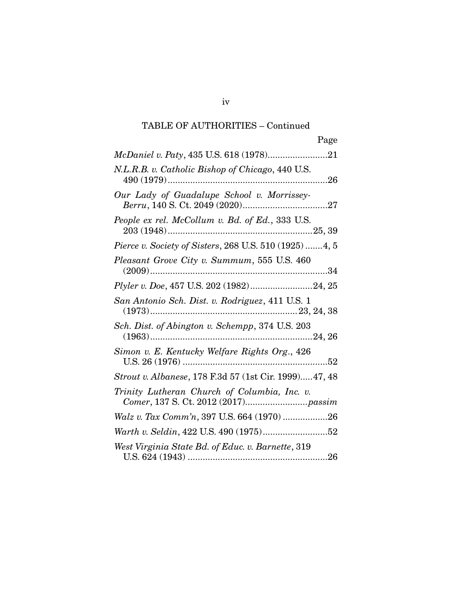# TABLE OF AUTHORITIES – Continued

| Page                                                         |
|--------------------------------------------------------------|
|                                                              |
| N.L.R.B. v. Catholic Bishop of Chicago, 440 U.S.             |
| Our Lady of Guadalupe School v. Morrissey-                   |
| People ex rel. McCollum v. Bd. of Ed., 333 U.S.              |
| <i>Pierce v. Society of Sisters, 268 U.S.</i> 510 (1925)4, 5 |
| Pleasant Grove City v. Summum, 555 U.S. 460                  |
|                                                              |
| San Antonio Sch. Dist. v. Rodriguez, 411 U.S. 1              |
| Sch. Dist. of Abington v. Schempp, 374 U.S. 203              |
| Simon v. E. Kentucky Welfare Rights Org., 426                |
| <i>Strout v. Albanese, 178 F.3d 57 (1st Cir. 1999)47, 48</i> |
| Trinity Lutheran Church of Columbia, Inc. v.                 |
| Walz v. Tax Comm'n, 397 U.S. 664 (1970) 26                   |
|                                                              |
| West Virginia State Bd. of Educ. v. Barnette, 319            |

iv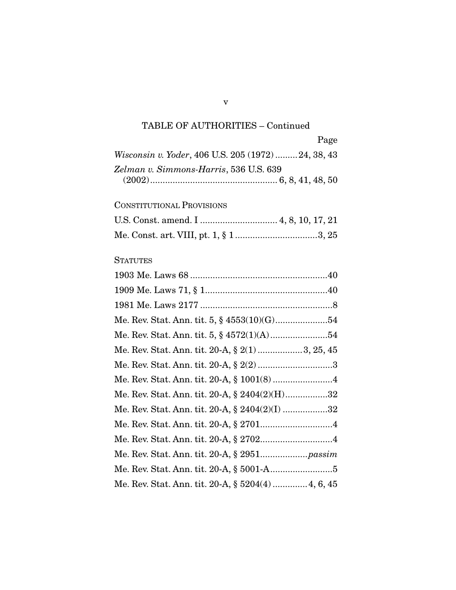# TABLE OF AUTHORITIES – Continued

|                                                   | Page |
|---------------------------------------------------|------|
| Wisconsin v. Yoder, 406 U.S. 205 (1972)24, 38, 43 |      |
| Zelman v. Simmons-Harris, 536 U.S. 639            |      |
|                                                   |      |

### CONSTITUTIONAL PROVISIONS

# **STATUTES**

| Me. Rev. Stat. Ann. tit. 20-A, § 2(1)3, 25, 45     |
|----------------------------------------------------|
| Me. Rev. Stat. Ann. tit. 20-A, $\S 2(2)$ 3         |
|                                                    |
| Me. Rev. Stat. Ann. tit. 20-A, $\S 2404(2)(H)$ 32  |
| Me. Rev. Stat. Ann. tit. 20-A, $\S 2404(2)(I)$ 32  |
|                                                    |
|                                                    |
|                                                    |
|                                                    |
| Me. Rev. Stat. Ann. tit. 20-A, § 5204(4)  4, 6, 45 |

v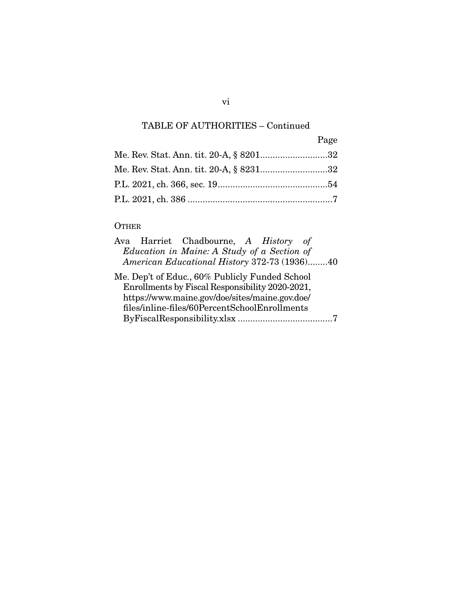# TABLE OF AUTHORITIES – Continued

|                                         | Page |
|-----------------------------------------|------|
| Me. Rev. Stat. Ann. tit. 20-A, § 820132 |      |
| Me. Rev. Stat. Ann. tit. 20-A, § 823132 |      |
|                                         |      |
|                                         |      |

## **OTHER**

|  | Ava Harriet Chadbourne, A History of            |  |  |
|--|-------------------------------------------------|--|--|
|  | Education in Maine: A Study of a Section of     |  |  |
|  | American Educational History 372-73 (1936)40    |  |  |
|  | Me. Dep't of Educ., 60% Publicly Funded School  |  |  |
|  | Enrollments by Fiscal Responsibility 2020-2021, |  |  |
|  | https://www.maine.gov/doe/sites/maine.gov.doe/  |  |  |
|  | files/inline-files/60PercentSchoolEnrollments   |  |  |
|  |                                                 |  |  |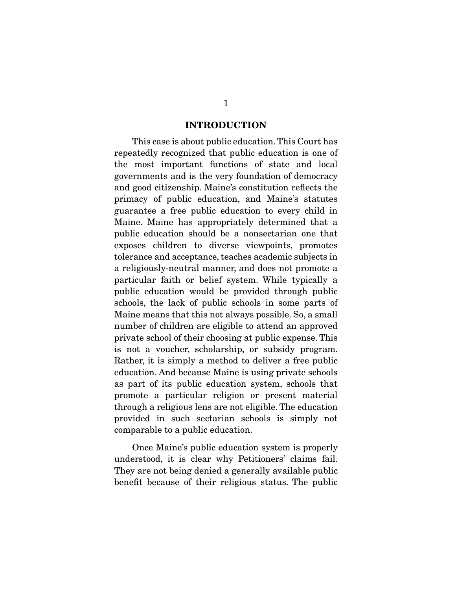#### **INTRODUCTION**

 This case is about public education. This Court has repeatedly recognized that public education is one of the most important functions of state and local governments and is the very foundation of democracy and good citizenship. Maine's constitution reflects the primacy of public education, and Maine's statutes guarantee a free public education to every child in Maine. Maine has appropriately determined that a public education should be a nonsectarian one that exposes children to diverse viewpoints, promotes tolerance and acceptance, teaches academic subjects in a religiously-neutral manner, and does not promote a particular faith or belief system. While typically a public education would be provided through public schools, the lack of public schools in some parts of Maine means that this not always possible. So, a small number of children are eligible to attend an approved private school of their choosing at public expense. This is not a voucher, scholarship, or subsidy program. Rather, it is simply a method to deliver a free public education. And because Maine is using private schools as part of its public education system, schools that promote a particular religion or present material through a religious lens are not eligible. The education provided in such sectarian schools is simply not comparable to a public education.

 Once Maine's public education system is properly understood, it is clear why Petitioners' claims fail. They are not being denied a generally available public benefit because of their religious status. The public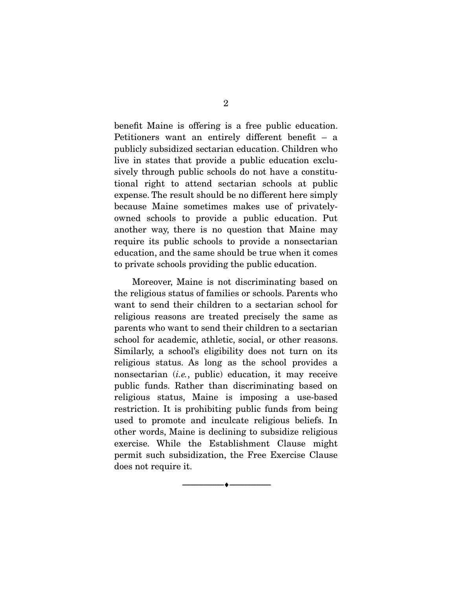benefit Maine is offering is a free public education. Petitioners want an entirely different benefit – a publicly subsidized sectarian education. Children who live in states that provide a public education exclusively through public schools do not have a constitutional right to attend sectarian schools at public expense. The result should be no different here simply because Maine sometimes makes use of privatelyowned schools to provide a public education. Put another way, there is no question that Maine may require its public schools to provide a nonsectarian education, and the same should be true when it comes to private schools providing the public education.

 Moreover, Maine is not discriminating based on the religious status of families or schools. Parents who want to send their children to a sectarian school for religious reasons are treated precisely the same as parents who want to send their children to a sectarian school for academic, athletic, social, or other reasons. Similarly, a school's eligibility does not turn on its religious status. As long as the school provides a nonsectarian (i.e., public) education, it may receive public funds. Rather than discriminating based on religious status, Maine is imposing a use-based restriction. It is prohibiting public funds from being used to promote and inculcate religious beliefs. In other words, Maine is declining to subsidize religious exercise. While the Establishment Clause might permit such subsidization, the Free Exercise Clause does not require it.

--------------------------------- ♦ ---------------------------------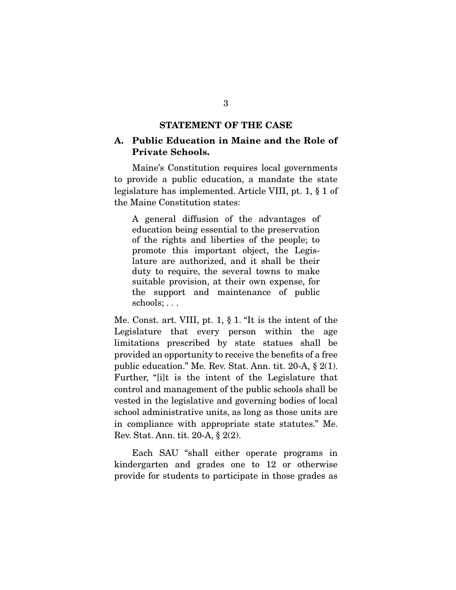### **STATEMENT OF THE CASE**

### **A. Public Education in Maine and the Role of Private Schools.**

 Maine's Constitution requires local governments to provide a public education, a mandate the state legislature has implemented. Article VIII, pt. 1, § 1 of the Maine Constitution states:

A general diffusion of the advantages of education being essential to the preservation of the rights and liberties of the people; to promote this important object, the Legislature are authorized, and it shall be their duty to require, the several towns to make suitable provision, at their own expense, for the support and maintenance of public schools; . . .

Me. Const. art. VIII, pt. 1, § 1. "It is the intent of the Legislature that every person within the age limitations prescribed by state statues shall be provided an opportunity to receive the benefits of a free public education." Me. Rev. Stat. Ann. tit. 20-A, § 2(1). Further, "[i]t is the intent of the Legislature that control and management of the public schools shall be vested in the legislative and governing bodies of local school administrative units, as long as those units are in compliance with appropriate state statutes." Me. Rev. Stat. Ann. tit. 20-A, § 2(2).

 Each SAU "shall either operate programs in kindergarten and grades one to 12 or otherwise provide for students to participate in those grades as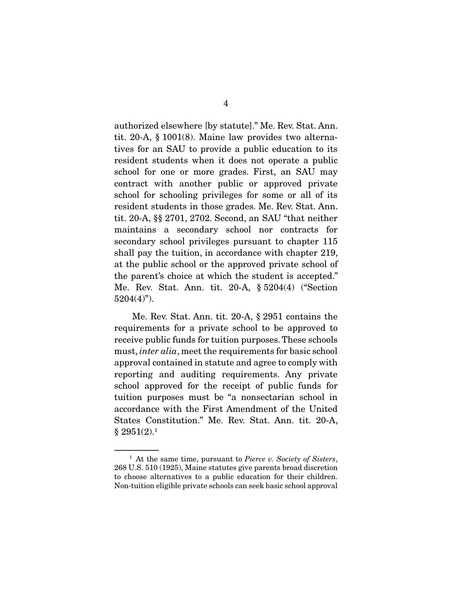authorized elsewhere [by statute]." Me. Rev. Stat. Ann. tit. 20-A, § 1001(8). Maine law provides two alternatives for an SAU to provide a public education to its resident students when it does not operate a public school for one or more grades. First, an SAU may contract with another public or approved private school for schooling privileges for some or all of its resident students in those grades. Me. Rev. Stat. Ann. tit. 20-A, §§ 2701, 2702. Second, an SAU "that neither maintains a secondary school nor contracts for secondary school privileges pursuant to chapter 115 shall pay the tuition, in accordance with chapter 219, at the public school or the approved private school of the parent's choice at which the student is accepted." Me. Rev. Stat. Ann. tit. 20-A, § 5204(4) ("Section  $5204(4)$ ").

 Me. Rev. Stat. Ann. tit. 20-A, § 2951 contains the requirements for a private school to be approved to receive public funds for tuition purposes. These schools must, *inter alia*, meet the requirements for basic school approval contained in statute and agree to comply with reporting and auditing requirements. Any private school approved for the receipt of public funds for tuition purposes must be "a nonsectarian school in accordance with the First Amendment of the United States Constitution." Me. Rev. Stat. Ann. tit. 20-A,  $§ 2951(2).<sup>1</sup>$ 

 $1$  At the same time, pursuant to Pierce v. Society of Sisters, 268 U.S. 510 (1925), Maine statutes give parents broad discretion to choose alternatives to a public education for their children. Non-tuition eligible private schools can seek basic school approval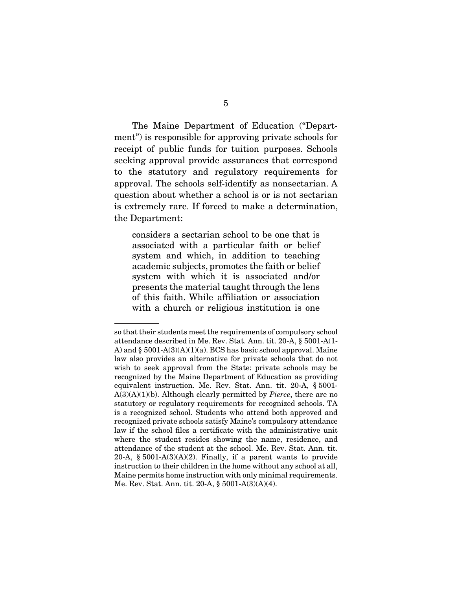The Maine Department of Education ("Department") is responsible for approving private schools for

receipt of public funds for tuition purposes. Schools seeking approval provide assurances that correspond to the statutory and regulatory requirements for approval. The schools self-identify as nonsectarian. A question about whether a school is or is not sectarian is extremely rare. If forced to make a determination, the Department:

considers a sectarian school to be one that is associated with a particular faith or belief system and which, in addition to teaching academic subjects, promotes the faith or belief system with which it is associated and/or presents the material taught through the lens of this faith. While affiliation or association with a church or religious institution is one

so that their students meet the requirements of compulsory school attendance described in Me. Rev. Stat. Ann. tit. 20-A, § 5001-A(1- A) and  $\S$  5001-A(3)(A)(1)(a). BCS has basic school approval. Maine law also provides an alternative for private schools that do not wish to seek approval from the State: private schools may be recognized by the Maine Department of Education as providing equivalent instruction. Me. Rev. Stat. Ann. tit. 20-A, § 5001-  $A(3)(A)(1)(b)$ . Although clearly permitted by *Pierce*, there are no statutory or regulatory requirements for recognized schools. TA is a recognized school. Students who attend both approved and recognized private schools satisfy Maine's compulsory attendance law if the school files a certificate with the administrative unit where the student resides showing the name, residence, and attendance of the student at the school. Me. Rev. Stat. Ann. tit. 20-A,  $\S 5001-A(3)(A)(2)$ . Finally, if a parent wants to provide instruction to their children in the home without any school at all, Maine permits home instruction with only minimal requirements. Me. Rev. Stat. Ann. tit. 20-A, § 5001-A(3)(A)(4).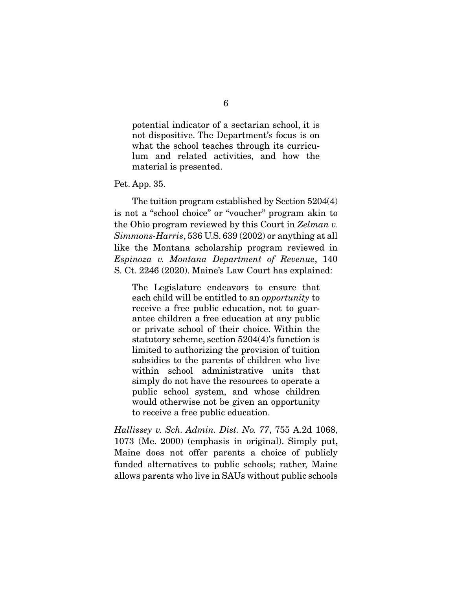potential indicator of a sectarian school, it is not dispositive. The Department's focus is on what the school teaches through its curriculum and related activities, and how the material is presented.

Pet. App. 35.

 The tuition program established by Section 5204(4) is not a "school choice" or "voucher" program akin to the Ohio program reviewed by this Court in Zelman v. Simmons-Harris, 536 U.S. 639 (2002) or anything at all like the Montana scholarship program reviewed in Espinoza v. Montana Department of Revenue, 140 S. Ct. 2246 (2020). Maine's Law Court has explained:

The Legislature endeavors to ensure that each child will be entitled to an opportunity to receive a free public education, not to guarantee children a free education at any public or private school of their choice. Within the statutory scheme, section 5204(4)'s function is limited to authorizing the provision of tuition subsidies to the parents of children who live within school administrative units that simply do not have the resources to operate a public school system, and whose children would otherwise not be given an opportunity to receive a free public education.

Hallissey v. Sch. Admin. Dist. No. 77, 755 A.2d 1068, 1073 (Me. 2000) (emphasis in original). Simply put, Maine does not offer parents a choice of publicly funded alternatives to public schools; rather, Maine allows parents who live in SAUs without public schools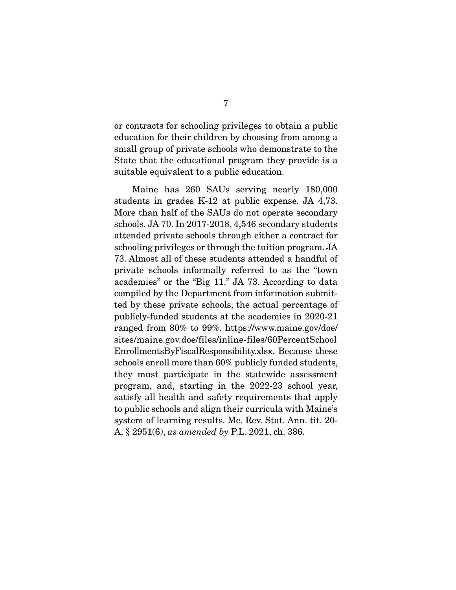or contracts for schooling privileges to obtain a public education for their children by choosing from among a small group of private schools who demonstrate to the State that the educational program they provide is a suitable equivalent to a public education.

 Maine has 260 SAUs serving nearly 180,000 students in grades K-12 at public expense. JA 4,73. More than half of the SAUs do not operate secondary schools. JA 70. In 2017-2018, 4,546 secondary students attended private schools through either a contract for schooling privileges or through the tuition program. JA 73. Almost all of these students attended a handful of private schools informally referred to as the "town academies" or the "Big 11." JA 73. According to data compiled by the Department from information submitted by these private schools, the actual percentage of publicly-funded students at the academies in 2020-21 ranged from 80% to 99%. https://www.maine.gov/doe/ sites/maine.gov.doe/files/inline-files/60PercentSchool EnrollmentsByFiscalResponsibility.xlsx. Because these schools enroll more than 60% publicly funded students, they must participate in the statewide assessment program, and, starting in the 2022-23 school year, satisfy all health and safety requirements that apply to public schools and align their curricula with Maine's system of learning results. Me. Rev. Stat. Ann. tit. 20- A, § 2951(6), as amended by P.L. 2021, ch. 386.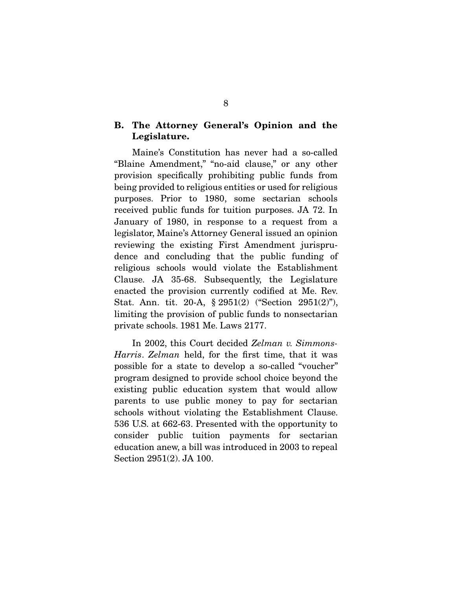### **B. The Attorney General's Opinion and the Legislature.**

 Maine's Constitution has never had a so-called "Blaine Amendment," "no-aid clause," or any other provision specifically prohibiting public funds from being provided to religious entities or used for religious purposes. Prior to 1980, some sectarian schools received public funds for tuition purposes. JA 72. In January of 1980, in response to a request from a legislator, Maine's Attorney General issued an opinion reviewing the existing First Amendment jurisprudence and concluding that the public funding of religious schools would violate the Establishment Clause. JA 35-68. Subsequently, the Legislature enacted the provision currently codified at Me. Rev. Stat. Ann. tit. 20-A, § 2951(2) ("Section 2951(2)"), limiting the provision of public funds to nonsectarian private schools. 1981 Me. Laws 2177.

In 2002, this Court decided Zelman v. Simmons-Harris. Zelman held, for the first time, that it was possible for a state to develop a so-called "voucher" program designed to provide school choice beyond the existing public education system that would allow parents to use public money to pay for sectarian schools without violating the Establishment Clause. 536 U.S. at 662-63. Presented with the opportunity to consider public tuition payments for sectarian education anew, a bill was introduced in 2003 to repeal Section 2951(2). JA 100.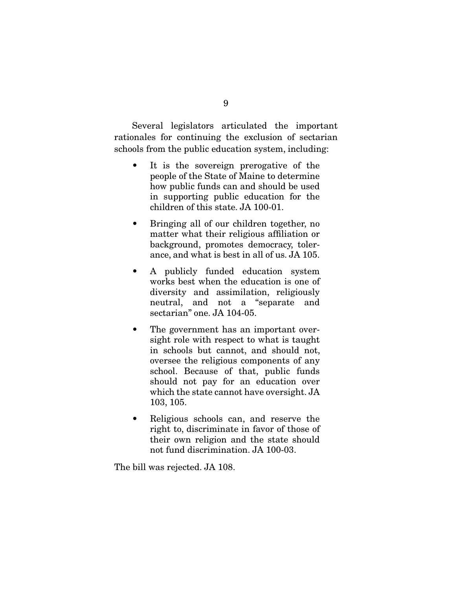Several legislators articulated the important rationales for continuing the exclusion of sectarian schools from the public education system, including:

- It is the sovereign prerogative of the people of the State of Maine to determine how public funds can and should be used in supporting public education for the children of this state. JA 100-01.
- Bringing all of our children together, no matter what their religious affiliation or background, promotes democracy, tolerance, and what is best in all of us. JA 105.
- A publicly funded education system works best when the education is one of diversity and assimilation, religiously neutral, and not a "separate and sectarian" one. JA 104-05.
- The government has an important oversight role with respect to what is taught in schools but cannot, and should not, oversee the religious components of any school. Because of that, public funds should not pay for an education over which the state cannot have oversight. JA 103, 105.
- Religious schools can, and reserve the right to, discriminate in favor of those of their own religion and the state should not fund discrimination. JA 100-03.

The bill was rejected. JA 108.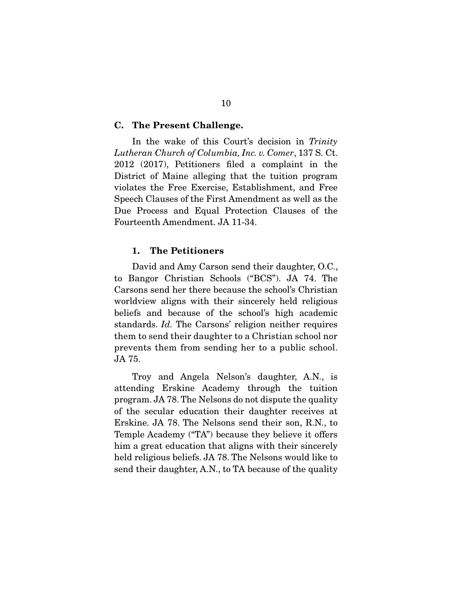#### **C. The Present Challenge.**

In the wake of this Court's decision in Trinity Lutheran Church of Columbia, Inc. v. Comer, 137 S. Ct. 2012 (2017), Petitioners filed a complaint in the District of Maine alleging that the tuition program violates the Free Exercise, Establishment, and Free Speech Clauses of the First Amendment as well as the Due Process and Equal Protection Clauses of the Fourteenth Amendment. JA 11-34.

### **1. The Petitioners**

 David and Amy Carson send their daughter, O.C., to Bangor Christian Schools ("BCS"). JA 74. The Carsons send her there because the school's Christian worldview aligns with their sincerely held religious beliefs and because of the school's high academic standards. Id. The Carsons' religion neither requires them to send their daughter to a Christian school nor prevents them from sending her to a public school. JA 75.

 Troy and Angela Nelson's daughter, A.N., is attending Erskine Academy through the tuition program. JA 78. The Nelsons do not dispute the quality of the secular education their daughter receives at Erskine. JA 78. The Nelsons send their son, R.N., to Temple Academy ("TA") because they believe it offers him a great education that aligns with their sincerely held religious beliefs. JA 78. The Nelsons would like to send their daughter, A.N., to TA because of the quality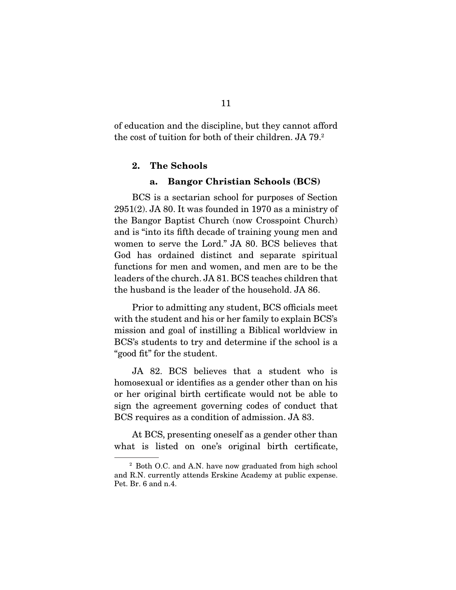of education and the discipline, but they cannot afford the cost of tuition for both of their children. JA 79.2

### **2. The Schools**

#### **a. Bangor Christian Schools (BCS)**

 BCS is a sectarian school for purposes of Section  $2951(2)$ . JA 80. It was founded in 1970 as a ministry of the Bangor Baptist Church (now Crosspoint Church) and is "into its fifth decade of training young men and women to serve the Lord." JA 80. BCS believes that God has ordained distinct and separate spiritual functions for men and women, and men are to be the leaders of the church. JA 81. BCS teaches children that the husband is the leader of the household. JA 86.

 Prior to admitting any student, BCS officials meet with the student and his or her family to explain BCS's mission and goal of instilling a Biblical worldview in BCS's students to try and determine if the school is a "good fit" for the student.

 JA 82. BCS believes that a student who is homosexual or identifies as a gender other than on his or her original birth certificate would not be able to sign the agreement governing codes of conduct that BCS requires as a condition of admission. JA 83.

 At BCS, presenting oneself as a gender other than what is listed on one's original birth certificate,

<sup>2</sup> Both O.C. and A.N. have now graduated from high school and R.N. currently attends Erskine Academy at public expense. Pet. Br. 6 and n.4.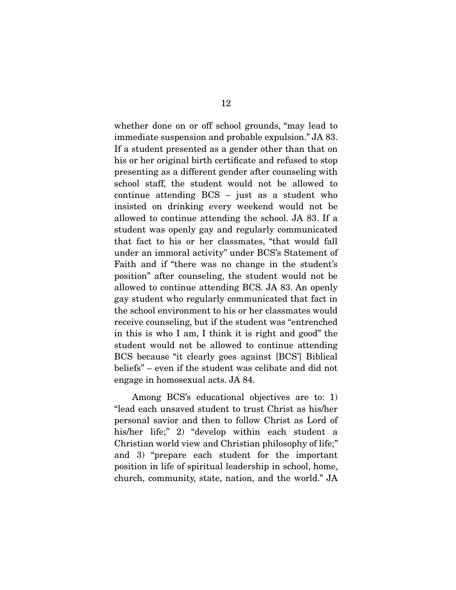whether done on or off school grounds, "may lead to immediate suspension and probable expulsion." JA 83. If a student presented as a gender other than that on his or her original birth certificate and refused to stop presenting as a different gender after counseling with school staff, the student would not be allowed to continue attending BCS – just as a student who insisted on drinking every weekend would not be allowed to continue attending the school. JA 83. If a student was openly gay and regularly communicated that fact to his or her classmates, "that would fall under an immoral activity" under BCS's Statement of Faith and if "there was no change in the student's position" after counseling, the student would not be allowed to continue attending BCS. JA 83. An openly gay student who regularly communicated that fact in the school environment to his or her classmates would receive counseling, but if the student was "entrenched in this is who I am, I think it is right and good" the student would not be allowed to continue attending BCS because "it clearly goes against [BCS'] Biblical beliefs" – even if the student was celibate and did not engage in homosexual acts. JA 84.

 Among BCS's educational objectives are to: 1) "lead each unsaved student to trust Christ as his/her personal savior and then to follow Christ as Lord of his/her life;" 2) "develop within each student a Christian world view and Christian philosophy of life;" and 3) "prepare each student for the important position in life of spiritual leadership in school, home, church, community, state, nation, and the world." JA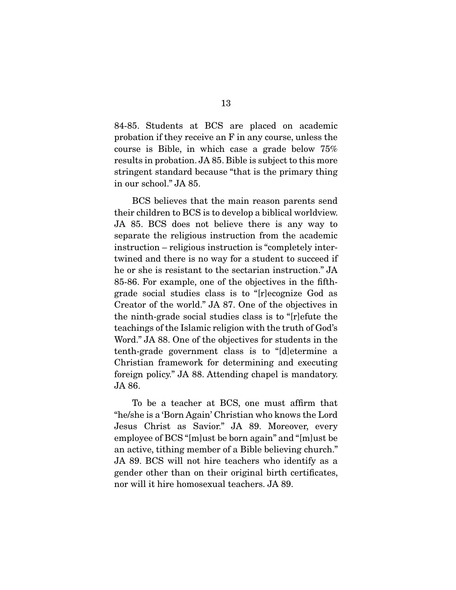84-85. Students at BCS are placed on academic probation if they receive an F in any course, unless the course is Bible, in which case a grade below 75% results in probation. JA 85. Bible is subject to this more stringent standard because "that is the primary thing in our school." JA 85.

 BCS believes that the main reason parents send their children to BCS is to develop a biblical worldview. JA 85. BCS does not believe there is any way to separate the religious instruction from the academic instruction – religious instruction is "completely intertwined and there is no way for a student to succeed if he or she is resistant to the sectarian instruction." JA 85-86. For example, one of the objectives in the fifthgrade social studies class is to "[r]ecognize God as Creator of the world." JA 87. One of the objectives in the ninth-grade social studies class is to "[r]efute the teachings of the Islamic religion with the truth of God's Word." JA 88. One of the objectives for students in the tenth-grade government class is to "[d]etermine a Christian framework for determining and executing foreign policy." JA 88. Attending chapel is mandatory. JA 86.

 To be a teacher at BCS, one must affirm that "he/she is a 'Born Again' Christian who knows the Lord Jesus Christ as Savior." JA 89. Moreover, every employee of BCS "[m]ust be born again" and "[m]ust be an active, tithing member of a Bible believing church." JA 89. BCS will not hire teachers who identify as a gender other than on their original birth certificates, nor will it hire homosexual teachers. JA 89.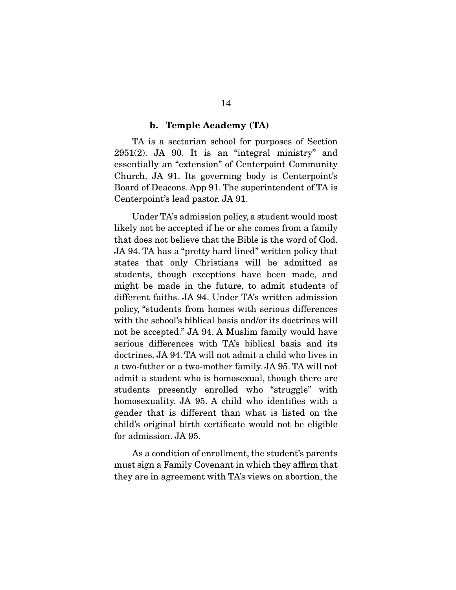#### **b. Temple Academy (TA)**

 TA is a sectarian school for purposes of Section  $2951(2)$ . JA 90. It is an "integral ministry" and essentially an "extension" of Centerpoint Community Church. JA 91. Its governing body is Centerpoint's Board of Deacons. App 91. The superintendent of TA is Centerpoint's lead pastor. JA 91.

 Under TA's admission policy, a student would most likely not be accepted if he or she comes from a family that does not believe that the Bible is the word of God. JA 94. TA has a "pretty hard lined" written policy that states that only Christians will be admitted as students, though exceptions have been made, and might be made in the future, to admit students of different faiths. JA 94. Under TA's written admission policy, "students from homes with serious differences with the school's biblical basis and/or its doctrines will not be accepted." JA 94. A Muslim family would have serious differences with TA's biblical basis and its doctrines. JA 94. TA will not admit a child who lives in a two-father or a two-mother family. JA 95. TA will not admit a student who is homosexual, though there are students presently enrolled who "struggle" with homosexuality. JA 95. A child who identifies with a gender that is different than what is listed on the child's original birth certificate would not be eligible for admission. JA 95.

 As a condition of enrollment, the student's parents must sign a Family Covenant in which they affirm that they are in agreement with TA's views on abortion, the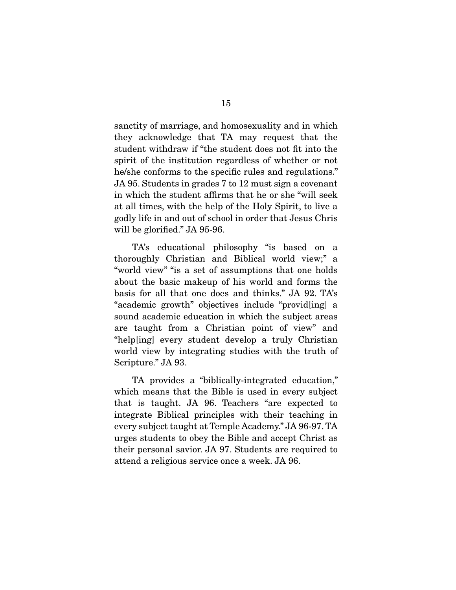sanctity of marriage, and homosexuality and in which they acknowledge that TA may request that the student withdraw if "the student does not fit into the spirit of the institution regardless of whether or not he/she conforms to the specific rules and regulations." JA 95. Students in grades 7 to 12 must sign a covenant in which the student affirms that he or she "will seek at all times, with the help of the Holy Spirit, to live a godly life in and out of school in order that Jesus Chris will be glorified." JA 95-96.

 TA's educational philosophy "is based on a thoroughly Christian and Biblical world view;" a "world view" "is a set of assumptions that one holds about the basic makeup of his world and forms the basis for all that one does and thinks." JA 92. TA's "academic growth" objectives include "provid[ing] a sound academic education in which the subject areas are taught from a Christian point of view" and "help[ing] every student develop a truly Christian world view by integrating studies with the truth of Scripture." JA 93.

 TA provides a "biblically-integrated education," which means that the Bible is used in every subject that is taught. JA 96. Teachers "are expected to integrate Biblical principles with their teaching in every subject taught at Temple Academy." JA 96-97. TA urges students to obey the Bible and accept Christ as their personal savior. JA 97. Students are required to attend a religious service once a week. JA 96.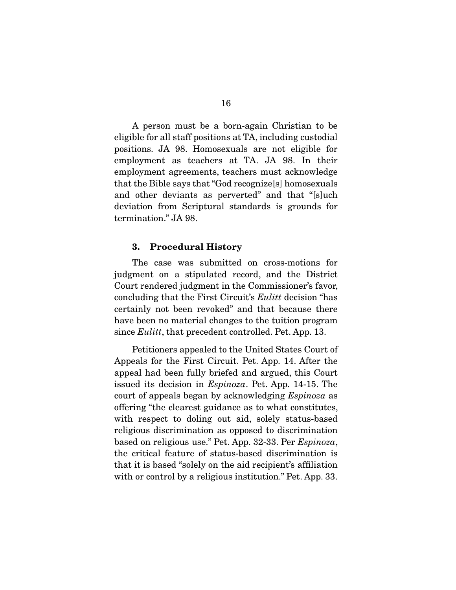A person must be a born-again Christian to be eligible for all staff positions at TA, including custodial positions. JA 98. Homosexuals are not eligible for employment as teachers at TA. JA 98. In their employment agreements, teachers must acknowledge that the Bible says that "God recognize[s] homosexuals and other deviants as perverted" and that "[s]uch deviation from Scriptural standards is grounds for termination." JA 98.

### **3. Procedural History**

 The case was submitted on cross-motions for judgment on a stipulated record, and the District Court rendered judgment in the Commissioner's favor, concluding that the First Circuit's *Eulitt* decision "has certainly not been revoked" and that because there have been no material changes to the tuition program since *Eulitt*, that precedent controlled. Pet. App. 13.

 Petitioners appealed to the United States Court of Appeals for the First Circuit. Pet. App. 14. After the appeal had been fully briefed and argued, this Court issued its decision in Espinoza. Pet. App. 14-15. The court of appeals began by acknowledging Espinoza as offering "the clearest guidance as to what constitutes, with respect to doling out aid, solely status-based religious discrimination as opposed to discrimination based on religious use." Pet. App. 32-33. Per Espinoza, the critical feature of status-based discrimination is that it is based "solely on the aid recipient's affiliation with or control by a religious institution." Pet. App. 33.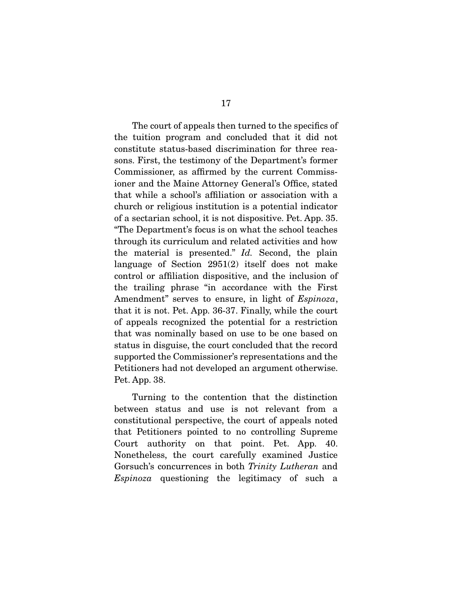The court of appeals then turned to the specifics of the tuition program and concluded that it did not constitute status-based discrimination for three reasons. First, the testimony of the Department's former Commissioner, as affirmed by the current Commissioner and the Maine Attorney General's Office, stated that while a school's affiliation or association with a church or religious institution is a potential indicator of a sectarian school, it is not dispositive. Pet. App. 35. "The Department's focus is on what the school teaches through its curriculum and related activities and how the material is presented." Id. Second, the plain language of Section 2951(2) itself does not make control or affiliation dispositive, and the inclusion of the trailing phrase "in accordance with the First Amendment" serves to ensure, in light of Espinoza, that it is not. Pet. App. 36-37. Finally, while the court of appeals recognized the potential for a restriction that was nominally based on use to be one based on status in disguise, the court concluded that the record supported the Commissioner's representations and the Petitioners had not developed an argument otherwise. Pet. App. 38.

 Turning to the contention that the distinction between status and use is not relevant from a constitutional perspective, the court of appeals noted that Petitioners pointed to no controlling Supreme Court authority on that point. Pet. App. 40. Nonetheless, the court carefully examined Justice Gorsuch's concurrences in both Trinity Lutheran and Espinoza questioning the legitimacy of such a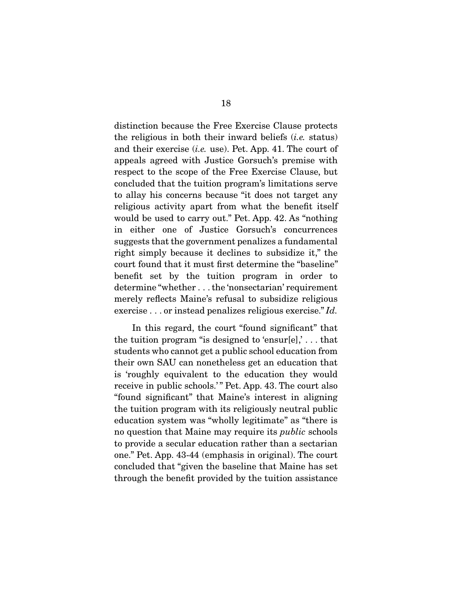distinction because the Free Exercise Clause protects the religious in both their inward beliefs  $(i.e.$  status) and their exercise (i.e. use). Pet. App. 41. The court of appeals agreed with Justice Gorsuch's premise with respect to the scope of the Free Exercise Clause, but concluded that the tuition program's limitations serve to allay his concerns because "it does not target any religious activity apart from what the benefit itself would be used to carry out." Pet. App. 42. As "nothing in either one of Justice Gorsuch's concurrences suggests that the government penalizes a fundamental right simply because it declines to subsidize it," the court found that it must first determine the "baseline" benefit set by the tuition program in order to determine "whether . . . the 'nonsectarian' requirement merely reflects Maine's refusal to subsidize religious exercise . . . or instead penalizes religious exercise." Id.

 In this regard, the court "found significant" that the tuition program "is designed to 'ensur[e],'... that students who cannot get a public school education from their own SAU can nonetheless get an education that is 'roughly equivalent to the education they would receive in public schools.'" Pet. App. 43. The court also "found significant" that Maine's interest in aligning the tuition program with its religiously neutral public education system was "wholly legitimate" as "there is no question that Maine may require its public schools to provide a secular education rather than a sectarian one." Pet. App. 43-44 (emphasis in original). The court concluded that "given the baseline that Maine has set through the benefit provided by the tuition assistance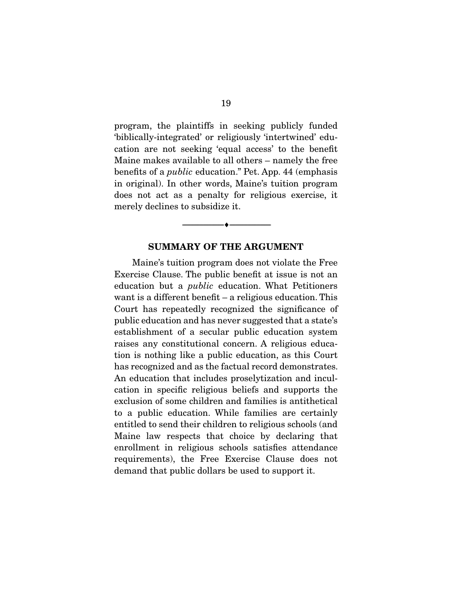program, the plaintiffs in seeking publicly funded 'biblically-integrated' or religiously 'intertwined' education are not seeking 'equal access' to the benefit Maine makes available to all others – namely the free benefits of a public education." Pet. App. 44 (emphasis in original). In other words, Maine's tuition program does not act as a penalty for religious exercise, it merely declines to subsidize it.

### **SUMMARY OF THE ARGUMENT**

 $\overbrace{\hspace{2.5cm}}^{\bullet}$   $\overbrace{\hspace{2.5cm}}^{\bullet}$ 

 Maine's tuition program does not violate the Free Exercise Clause. The public benefit at issue is not an education but a public education. What Petitioners want is a different benefit – a religious education. This Court has repeatedly recognized the significance of public education and has never suggested that a state's establishment of a secular public education system raises any constitutional concern. A religious education is nothing like a public education, as this Court has recognized and as the factual record demonstrates. An education that includes proselytization and inculcation in specific religious beliefs and supports the exclusion of some children and families is antithetical to a public education. While families are certainly entitled to send their children to religious schools (and Maine law respects that choice by declaring that enrollment in religious schools satisfies attendance requirements), the Free Exercise Clause does not demand that public dollars be used to support it.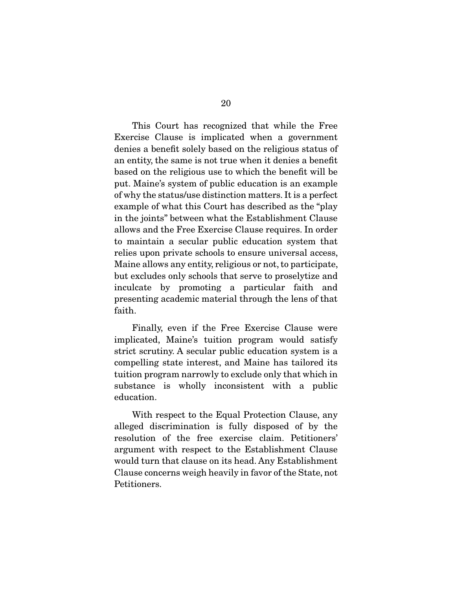This Court has recognized that while the Free Exercise Clause is implicated when a government denies a benefit solely based on the religious status of an entity, the same is not true when it denies a benefit based on the religious use to which the benefit will be put. Maine's system of public education is an example of why the status/use distinction matters. It is a perfect example of what this Court has described as the "play in the joints" between what the Establishment Clause allows and the Free Exercise Clause requires. In order to maintain a secular public education system that relies upon private schools to ensure universal access, Maine allows any entity, religious or not, to participate, but excludes only schools that serve to proselytize and inculcate by promoting a particular faith and presenting academic material through the lens of that faith.

 Finally, even if the Free Exercise Clause were implicated, Maine's tuition program would satisfy strict scrutiny. A secular public education system is a compelling state interest, and Maine has tailored its tuition program narrowly to exclude only that which in substance is wholly inconsistent with a public education.

 With respect to the Equal Protection Clause, any alleged discrimination is fully disposed of by the resolution of the free exercise claim. Petitioners' argument with respect to the Establishment Clause would turn that clause on its head. Any Establishment Clause concerns weigh heavily in favor of the State, not Petitioners.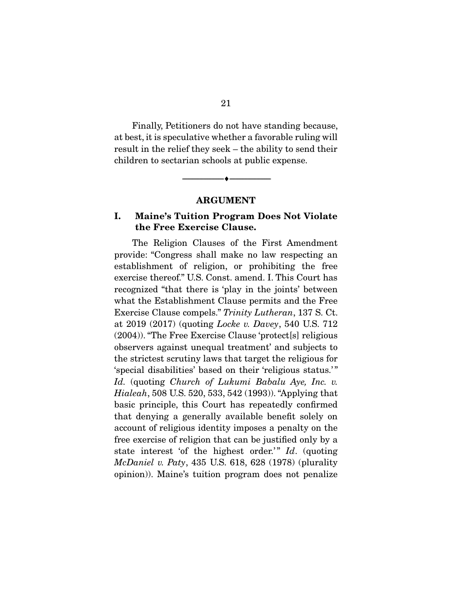Finally, Petitioners do not have standing because, at best, it is speculative whether a favorable ruling will result in the relief they seek – the ability to send their children to sectarian schools at public expense.

**ARGUMENT** 

--------------------------------- ♦ ---------------------------------

## **I. Maine's Tuition Program Does Not Violate the Free Exercise Clause.**

 The Religion Clauses of the First Amendment provide: "Congress shall make no law respecting an establishment of religion, or prohibiting the free exercise thereof." U.S. Const. amend. I. This Court has recognized "that there is 'play in the joints' between what the Establishment Clause permits and the Free Exercise Clause compels." Trinity Lutheran, 137 S. Ct. at 2019 (2017) (quoting Locke v. Davey, 540 U.S. 712 (2004)). "The Free Exercise Clause 'protect[s] religious observers against unequal treatment' and subjects to the strictest scrutiny laws that target the religious for 'special disabilities' based on their 'religious status.' " Id. (quoting Church of Lukumi Babalu Aye, Inc. v. Hialeah, 508 U.S. 520, 533, 542 (1993)). "Applying that basic principle, this Court has repeatedly confirmed that denying a generally available benefit solely on account of religious identity imposes a penalty on the free exercise of religion that can be justified only by a state interest 'of the highest order.'"  $Id.$  (quoting McDaniel v. Paty, 435 U.S. 618, 628 (1978) (plurality opinion)). Maine's tuition program does not penalize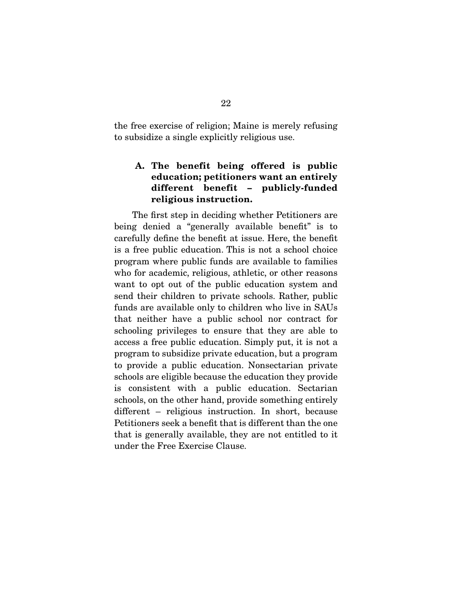the free exercise of religion; Maine is merely refusing to subsidize a single explicitly religious use.

## **A. The benefit being offered is public education; petitioners want an entirely different benefit – publicly-funded religious instruction.**

 The first step in deciding whether Petitioners are being denied a "generally available benefit" is to carefully define the benefit at issue. Here, the benefit is a free public education. This is not a school choice program where public funds are available to families who for academic, religious, athletic, or other reasons want to opt out of the public education system and send their children to private schools. Rather, public funds are available only to children who live in SAUs that neither have a public school nor contract for schooling privileges to ensure that they are able to access a free public education. Simply put, it is not a program to subsidize private education, but a program to provide a public education. Nonsectarian private schools are eligible because the education they provide is consistent with a public education. Sectarian schools, on the other hand, provide something entirely different – religious instruction. In short, because Petitioners seek a benefit that is different than the one that is generally available, they are not entitled to it under the Free Exercise Clause.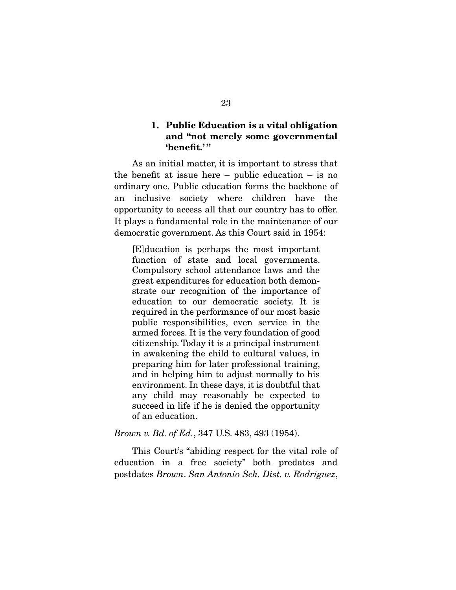### **1. Public Education is a vital obligation and "not merely some governmental 'benefit.' "**

 As an initial matter, it is important to stress that the benefit at issue here – public education – is no ordinary one. Public education forms the backbone of an inclusive society where children have the opportunity to access all that our country has to offer. It plays a fundamental role in the maintenance of our democratic government. As this Court said in 1954:

[E]ducation is perhaps the most important function of state and local governments. Compulsory school attendance laws and the great expenditures for education both demonstrate our recognition of the importance of education to our democratic society. It is required in the performance of our most basic public responsibilities, even service in the armed forces. It is the very foundation of good citizenship. Today it is a principal instrument in awakening the child to cultural values, in preparing him for later professional training, and in helping him to adjust normally to his environment. In these days, it is doubtful that any child may reasonably be expected to succeed in life if he is denied the opportunity of an education.

### Brown v. Bd. of Ed., 347 U.S. 483, 493 (1954).

 This Court's "abiding respect for the vital role of education in a free society" both predates and postdates Brown. San Antonio Sch. Dist. v. Rodriguez,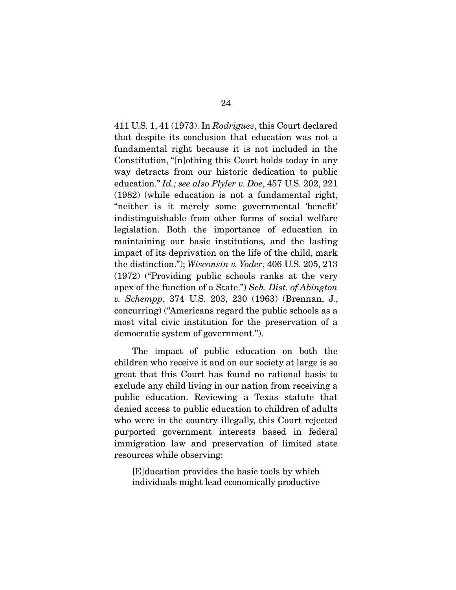411 U.S. 1, 41 (1973). In Rodriguez, this Court declared that despite its conclusion that education was not a fundamental right because it is not included in the Constitution, "[n]othing this Court holds today in any way detracts from our historic dedication to public education." Id.; see also Plyler v. Doe, 457 U.S. 202, 221 (1982) (while education is not a fundamental right, "neither is it merely some governmental 'benefit' indistinguishable from other forms of social welfare legislation. Both the importance of education in maintaining our basic institutions, and the lasting impact of its deprivation on the life of the child, mark the distinction."); Wisconsin v. Yoder, 406 U.S. 205, 213 (1972) ("Providing public schools ranks at the very apex of the function of a State.") Sch. Dist. of Abington v. Schempp, 374 U.S. 203, 230 (1963) (Brennan, J., concurring) ("Americans regard the public schools as a most vital civic institution for the preservation of a democratic system of government.").

 The impact of public education on both the children who receive it and on our society at large is so great that this Court has found no rational basis to exclude any child living in our nation from receiving a public education. Reviewing a Texas statute that denied access to public education to children of adults who were in the country illegally, this Court rejected purported government interests based in federal immigration law and preservation of limited state resources while observing:

[E]ducation provides the basic tools by which individuals might lead economically productive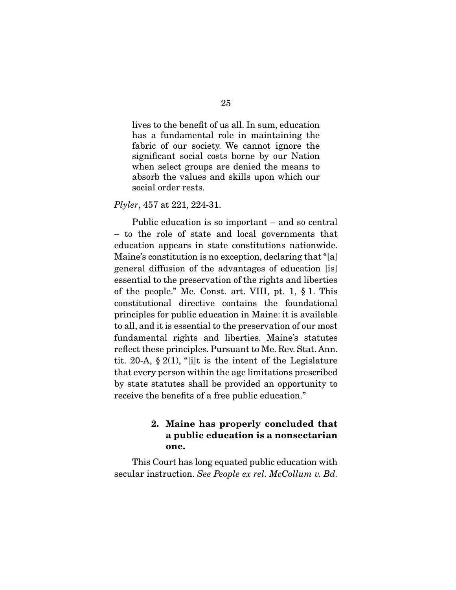lives to the benefit of us all. In sum, education has a fundamental role in maintaining the fabric of our society. We cannot ignore the significant social costs borne by our Nation when select groups are denied the means to absorb the values and skills upon which our social order rests.

Plyler, 457 at 221, 224-31.

 Public education is so important – and so central – to the role of state and local governments that education appears in state constitutions nationwide. Maine's constitution is no exception, declaring that "[a] general diffusion of the advantages of education [is] essential to the preservation of the rights and liberties of the people." Me. Const. art. VIII, pt. 1, § 1. This constitutional directive contains the foundational principles for public education in Maine: it is available to all, and it is essential to the preservation of our most fundamental rights and liberties. Maine's statutes reflect these principles. Pursuant to Me. Rev. Stat. Ann. tit. 20-A,  $\S 2(1)$ , "[i]t is the intent of the Legislature that every person within the age limitations prescribed by state statutes shall be provided an opportunity to receive the benefits of a free public education."

## **2. Maine has properly concluded that a public education is a nonsectarian one.**

 This Court has long equated public education with secular instruction. See People ex rel. McCollum v. Bd.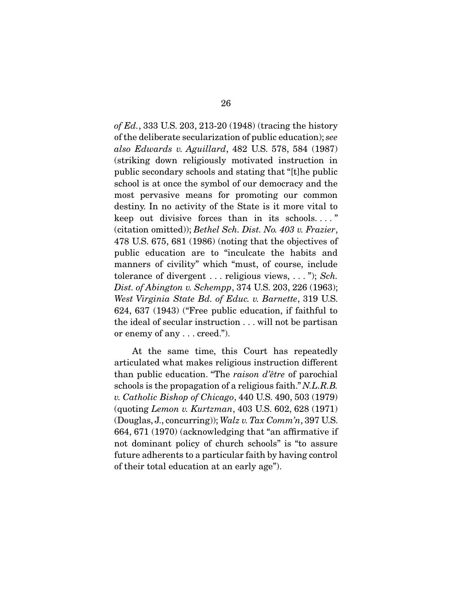*of Ed.*, 333 U.S. 203, 213-20 (1948) (tracing the history of the deliberate secularization of public education); see also Edwards v. Aguillard, 482 U.S. 578, 584 (1987) (striking down religiously motivated instruction in public secondary schools and stating that "[t]he public school is at once the symbol of our democracy and the most pervasive means for promoting our common destiny. In no activity of the State is it more vital to keep out divisive forces than in its schools. . . . " (citation omitted)); Bethel Sch. Dist. No. 403 v. Frazier, 478 U.S. 675, 681 (1986) (noting that the objectives of public education are to "inculcate the habits and manners of civility" which "must, of course, include tolerance of divergent  $\dots$  religious views,  $\dots$ "); Sch. Dist. of Abington v. Schempp, 374 U.S. 203, 226 (1963); West Virginia State Bd. of Educ. v. Barnette, 319 U.S. 624, 637 (1943) ("Free public education, if faithful to the ideal of secular instruction . . . will not be partisan or enemy of any . . . creed.").

 At the same time, this Court has repeatedly articulated what makes religious instruction different than public education. "The raison d'être of parochial schools is the propagation of a religious faith." N.L.R.B. v. Catholic Bishop of Chicago, 440 U.S. 490, 503 (1979) (quoting Lemon v. Kurtzman, 403 U.S. 602, 628 (1971) (Douglas, J., concurring)); Walz v. Tax  $Comm'n$ , 397 U.S. 664, 671 (1970) (acknowledging that "an affirmative if not dominant policy of church schools" is "to assure future adherents to a particular faith by having control of their total education at an early age").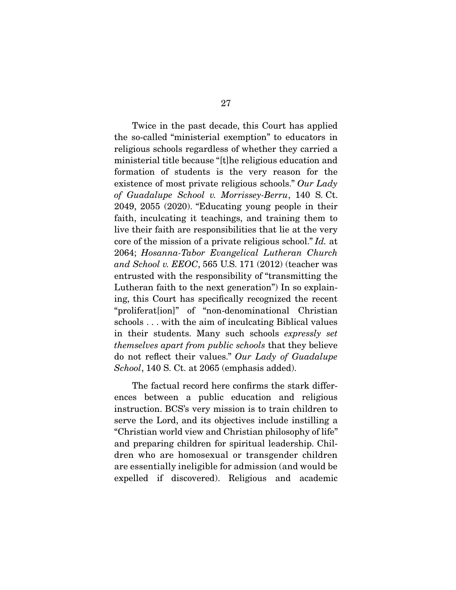Twice in the past decade, this Court has applied the so-called "ministerial exemption" to educators in religious schools regardless of whether they carried a ministerial title because "[t]he religious education and formation of students is the very reason for the existence of most private religious schools." Our Lady of Guadalupe School v. Morrissey-Berru, 140 S. Ct. 2049, 2055 (2020). "Educating young people in their faith, inculcating it teachings, and training them to live their faith are responsibilities that lie at the very core of the mission of a private religious school." Id. at 2064; Hosanna-Tabor Evangelical Lutheran Church and School v. EEOC, 565 U.S. 171 (2012) (teacher was entrusted with the responsibility of "transmitting the Lutheran faith to the next generation") In so explaining, this Court has specifically recognized the recent "proliferat[ion]" of "non-denominational Christian schools . . . with the aim of inculcating Biblical values in their students. Many such schools expressly set themselves apart from public schools that they believe do not reflect their values." Our Lady of Guadalupe School, 140 S. Ct. at 2065 (emphasis added).

 The factual record here confirms the stark differences between a public education and religious instruction. BCS's very mission is to train children to serve the Lord, and its objectives include instilling a "Christian world view and Christian philosophy of life" and preparing children for spiritual leadership. Children who are homosexual or transgender children are essentially ineligible for admission (and would be expelled if discovered). Religious and academic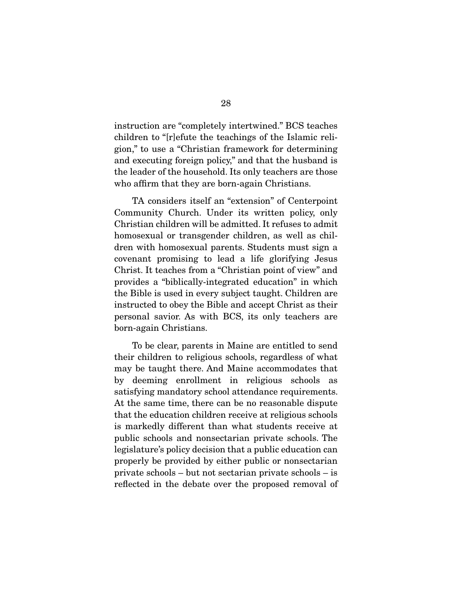instruction are "completely intertwined." BCS teaches children to "[r]efute the teachings of the Islamic religion," to use a "Christian framework for determining and executing foreign policy," and that the husband is the leader of the household. Its only teachers are those who affirm that they are born-again Christians.

 TA considers itself an "extension" of Centerpoint Community Church. Under its written policy, only Christian children will be admitted. It refuses to admit homosexual or transgender children, as well as children with homosexual parents. Students must sign a covenant promising to lead a life glorifying Jesus Christ. It teaches from a "Christian point of view" and provides a "biblically-integrated education" in which the Bible is used in every subject taught. Children are instructed to obey the Bible and accept Christ as their personal savior. As with BCS, its only teachers are born-again Christians.

 To be clear, parents in Maine are entitled to send their children to religious schools, regardless of what may be taught there. And Maine accommodates that by deeming enrollment in religious schools as satisfying mandatory school attendance requirements. At the same time, there can be no reasonable dispute that the education children receive at religious schools is markedly different than what students receive at public schools and nonsectarian private schools. The legislature's policy decision that a public education can properly be provided by either public or nonsectarian private schools – but not sectarian private schools – is reflected in the debate over the proposed removal of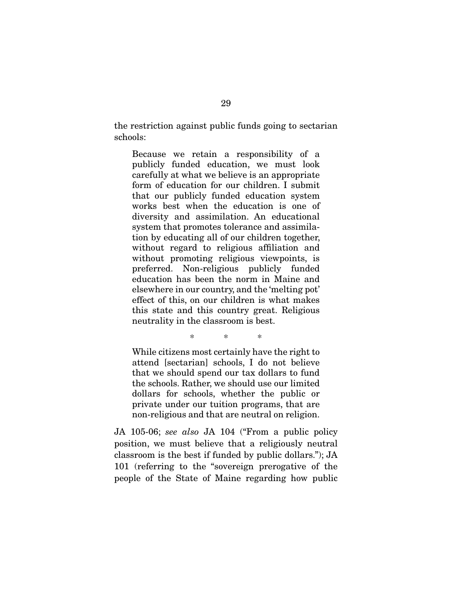the restriction against public funds going to sectarian schools:

Because we retain a responsibility of a publicly funded education, we must look carefully at what we believe is an appropriate form of education for our children. I submit that our publicly funded education system works best when the education is one of diversity and assimilation. An educational system that promotes tolerance and assimilation by educating all of our children together, without regard to religious affiliation and without promoting religious viewpoints, is preferred. Non-religious publicly funded education has been the norm in Maine and elsewhere in our country, and the 'melting pot' effect of this, on our children is what makes this state and this country great. Religious neutrality in the classroom is best.

While citizens most certainly have the right to attend [sectarian] schools, I do not believe that we should spend our tax dollars to fund the schools. Rather, we should use our limited dollars for schools, whether the public or private under our tuition programs, that are non-religious and that are neutral on religion.

\* \* \*

JA 105-06; see also JA 104 ("From a public policy position, we must believe that a religiously neutral classroom is the best if funded by public dollars."); JA 101 (referring to the "sovereign prerogative of the people of the State of Maine regarding how public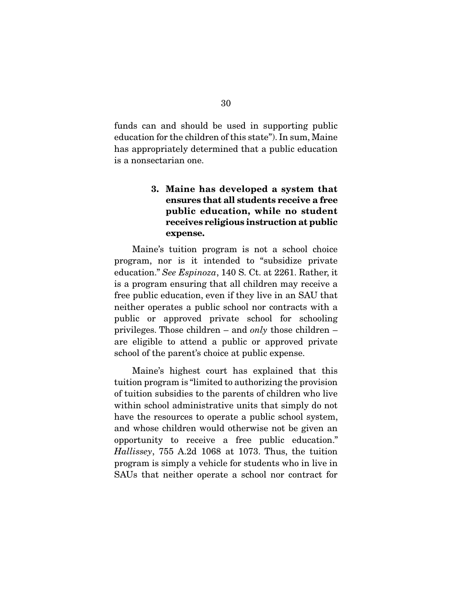funds can and should be used in supporting public education for the children of this state"). In sum, Maine has appropriately determined that a public education is a nonsectarian one.

## **3. Maine has developed a system that ensures that all students receive a free public education, while no student receives religious instruction at public expense.**

 Maine's tuition program is not a school choice program, nor is it intended to "subsidize private education." See Espinoza, 140 S. Ct. at 2261. Rather, it is a program ensuring that all children may receive a free public education, even if they live in an SAU that neither operates a public school nor contracts with a public or approved private school for schooling privileges. Those children – and only those children – are eligible to attend a public or approved private school of the parent's choice at public expense.

 Maine's highest court has explained that this tuition program is "limited to authorizing the provision of tuition subsidies to the parents of children who live within school administrative units that simply do not have the resources to operate a public school system, and whose children would otherwise not be given an opportunity to receive a free public education." Hallissey, 755 A.2d 1068 at 1073. Thus, the tuition program is simply a vehicle for students who in live in SAUs that neither operate a school nor contract for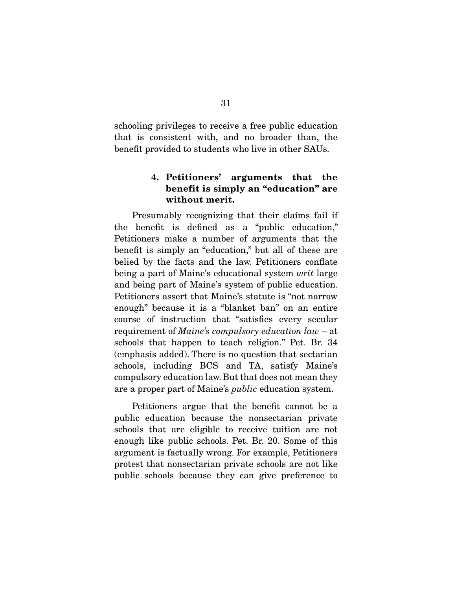schooling privileges to receive a free public education that is consistent with, and no broader than, the benefit provided to students who live in other SAUs.

### **4. Petitioners' arguments that the benefit is simply an "education" are without merit.**

 Presumably recognizing that their claims fail if the benefit is defined as a "public education," Petitioners make a number of arguments that the benefit is simply an "education," but all of these are belied by the facts and the law. Petitioners conflate being a part of Maine's educational system *writ* large and being part of Maine's system of public education. Petitioners assert that Maine's statute is "not narrow enough" because it is a "blanket ban" on an entire course of instruction that "satisfies every secular requirement of Maine's compulsory education law – at schools that happen to teach religion." Pet. Br. 34 (emphasis added). There is no question that sectarian schools, including BCS and TA, satisfy Maine's compulsory education law. But that does not mean they are a proper part of Maine's public education system.

 Petitioners argue that the benefit cannot be a public education because the nonsectarian private schools that are eligible to receive tuition are not enough like public schools. Pet. Br. 20. Some of this argument is factually wrong. For example, Petitioners protest that nonsectarian private schools are not like public schools because they can give preference to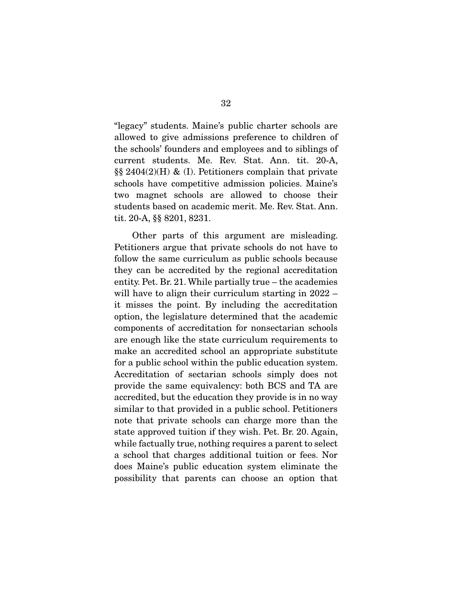"legacy" students. Maine's public charter schools are allowed to give admissions preference to children of the schools' founders and employees and to siblings of current students. Me. Rev. Stat. Ann. tit. 20-A,  $\S\S 2404(2)$ (H) & (I). Petitioners complain that private schools have competitive admission policies. Maine's two magnet schools are allowed to choose their students based on academic merit. Me. Rev. Stat. Ann. tit. 20-A, §§ 8201, 8231.

 Other parts of this argument are misleading. Petitioners argue that private schools do not have to follow the same curriculum as public schools because they can be accredited by the regional accreditation entity. Pet. Br. 21. While partially true – the academies will have to align their curriculum starting in 2022 – it misses the point. By including the accreditation option, the legislature determined that the academic components of accreditation for nonsectarian schools are enough like the state curriculum requirements to make an accredited school an appropriate substitute for a public school within the public education system. Accreditation of sectarian schools simply does not provide the same equivalency: both BCS and TA are accredited, but the education they provide is in no way similar to that provided in a public school. Petitioners note that private schools can charge more than the state approved tuition if they wish. Pet. Br. 20. Again, while factually true, nothing requires a parent to select a school that charges additional tuition or fees. Nor does Maine's public education system eliminate the possibility that parents can choose an option that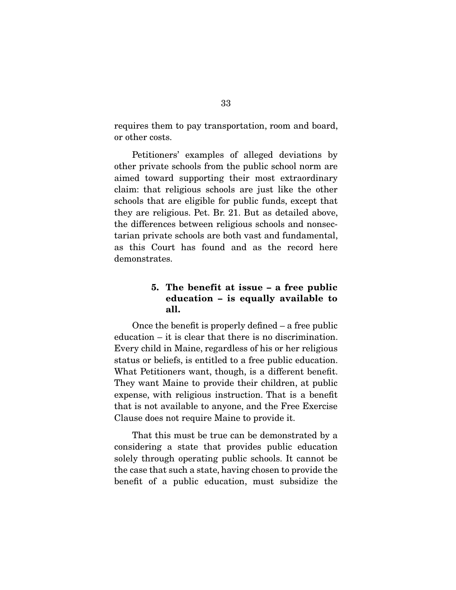requires them to pay transportation, room and board, or other costs.

 Petitioners' examples of alleged deviations by other private schools from the public school norm are aimed toward supporting their most extraordinary claim: that religious schools are just like the other schools that are eligible for public funds, except that they are religious. Pet. Br. 21. But as detailed above, the differences between religious schools and nonsectarian private schools are both vast and fundamental, as this Court has found and as the record here demonstrates.

## **5. The benefit at issue – a free public education – is equally available to all.**

 Once the benefit is properly defined – a free public education – it is clear that there is no discrimination. Every child in Maine, regardless of his or her religious status or beliefs, is entitled to a free public education. What Petitioners want, though, is a different benefit. They want Maine to provide their children, at public expense, with religious instruction. That is a benefit that is not available to anyone, and the Free Exercise Clause does not require Maine to provide it.

 That this must be true can be demonstrated by a considering a state that provides public education solely through operating public schools. It cannot be the case that such a state, having chosen to provide the benefit of a public education, must subsidize the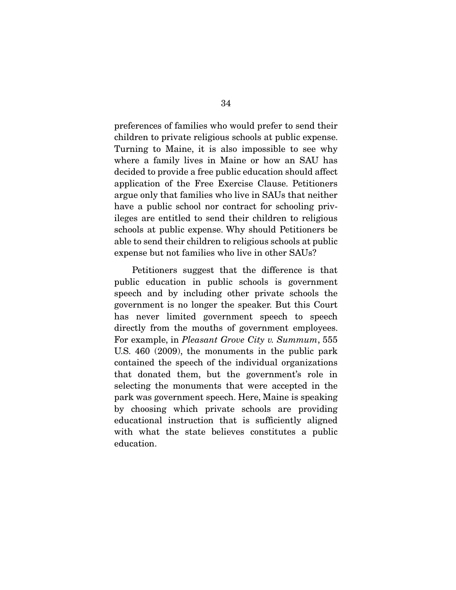preferences of families who would prefer to send their children to private religious schools at public expense. Turning to Maine, it is also impossible to see why where a family lives in Maine or how an SAU has decided to provide a free public education should affect application of the Free Exercise Clause. Petitioners argue only that families who live in SAUs that neither have a public school nor contract for schooling privileges are entitled to send their children to religious schools at public expense. Why should Petitioners be able to send their children to religious schools at public expense but not families who live in other SAUs?

 Petitioners suggest that the difference is that public education in public schools is government speech and by including other private schools the government is no longer the speaker. But this Court has never limited government speech to speech directly from the mouths of government employees. For example, in Pleasant Grove City v. Summum, 555 U.S. 460 (2009), the monuments in the public park contained the speech of the individual organizations that donated them, but the government's role in selecting the monuments that were accepted in the park was government speech. Here, Maine is speaking by choosing which private schools are providing educational instruction that is sufficiently aligned with what the state believes constitutes a public education.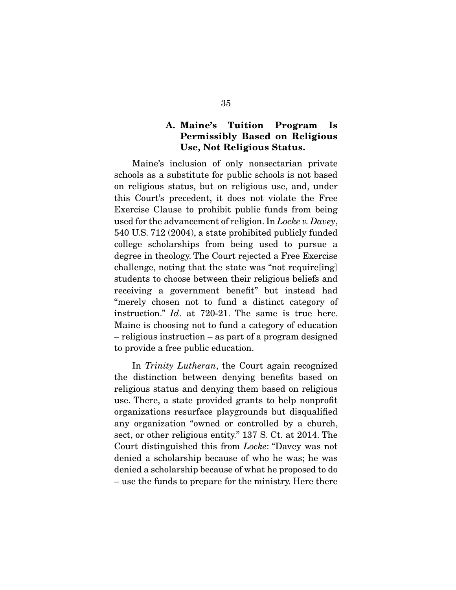## **A. Maine's Tuition Program Is Permissibly Based on Religious Use, Not Religious Status.**

 Maine's inclusion of only nonsectarian private schools as a substitute for public schools is not based on religious status, but on religious use, and, under this Court's precedent, it does not violate the Free Exercise Clause to prohibit public funds from being used for the advancement of religion. In Locke v. Davey, 540 U.S. 712 (2004), a state prohibited publicly funded college scholarships from being used to pursue a degree in theology. The Court rejected a Free Exercise challenge, noting that the state was "not require[ing] students to choose between their religious beliefs and receiving a government benefit" but instead had "merely chosen not to fund a distinct category of instruction." Id. at 720-21. The same is true here. Maine is choosing not to fund a category of education – religious instruction – as part of a program designed to provide a free public education.

In Trinity Lutheran, the Court again recognized the distinction between denying benefits based on religious status and denying them based on religious use. There, a state provided grants to help nonprofit organizations resurface playgrounds but disqualified any organization "owned or controlled by a church, sect, or other religious entity." 137 S. Ct. at 2014. The Court distinguished this from Locke: "Davey was not denied a scholarship because of who he was; he was denied a scholarship because of what he proposed to do – use the funds to prepare for the ministry. Here there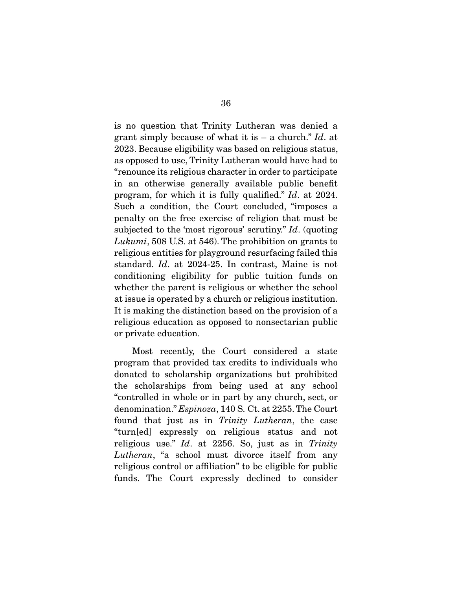is no question that Trinity Lutheran was denied a grant simply because of what it is  $-$  a church." Id. at 2023. Because eligibility was based on religious status, as opposed to use, Trinity Lutheran would have had to "renounce its religious character in order to participate in an otherwise generally available public benefit program, for which it is fully qualified." Id. at 2024. Such a condition, the Court concluded, "imposes a penalty on the free exercise of religion that must be subjected to the 'most rigorous' scrutiny." Id. (quoting Lukumi, 508 U.S. at 546). The prohibition on grants to religious entities for playground resurfacing failed this standard. Id. at 2024-25. In contrast, Maine is not conditioning eligibility for public tuition funds on whether the parent is religious or whether the school at issue is operated by a church or religious institution. It is making the distinction based on the provision of a religious education as opposed to nonsectarian public or private education.

 Most recently, the Court considered a state program that provided tax credits to individuals who donated to scholarship organizations but prohibited the scholarships from being used at any school "controlled in whole or in part by any church, sect, or denomination." Espinoza, 140 S. Ct. at 2255. The Court found that just as in Trinity Lutheran, the case "turn[ed] expressly on religious status and not religious use." Id. at 2256. So, just as in Trinity Lutheran, "a school must divorce itself from any religious control or affiliation" to be eligible for public funds. The Court expressly declined to consider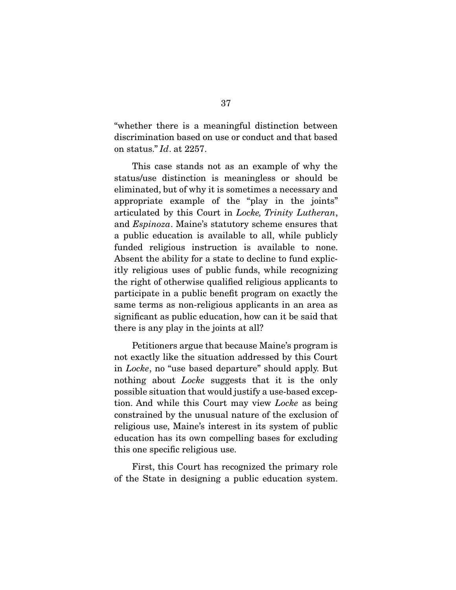"whether there is a meaningful distinction between discrimination based on use or conduct and that based on status." Id. at 2257.

 This case stands not as an example of why the status/use distinction is meaningless or should be eliminated, but of why it is sometimes a necessary and appropriate example of the "play in the joints" articulated by this Court in Locke, Trinity Lutheran, and Espinoza. Maine's statutory scheme ensures that a public education is available to all, while publicly funded religious instruction is available to none. Absent the ability for a state to decline to fund explicitly religious uses of public funds, while recognizing the right of otherwise qualified religious applicants to participate in a public benefit program on exactly the same terms as non-religious applicants in an area as significant as public education, how can it be said that there is any play in the joints at all?

 Petitioners argue that because Maine's program is not exactly like the situation addressed by this Court in Locke, no "use based departure" should apply. But nothing about *Locke* suggests that it is the only possible situation that would justify a use-based exception. And while this Court may view Locke as being constrained by the unusual nature of the exclusion of religious use, Maine's interest in its system of public education has its own compelling bases for excluding this one specific religious use.

 First, this Court has recognized the primary role of the State in designing a public education system.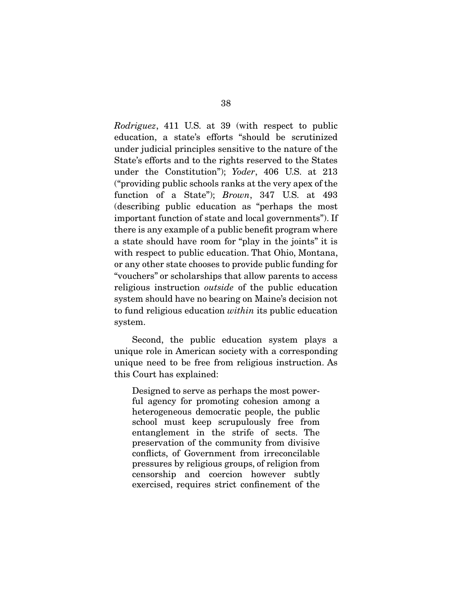Rodriguez, 411 U.S. at 39 (with respect to public education, a state's efforts "should be scrutinized under judicial principles sensitive to the nature of the State's efforts and to the rights reserved to the States under the Constitution"); Yoder, 406 U.S. at 213 ("providing public schools ranks at the very apex of the function of a State"); *Brown*, 347 U.S. at 493 (describing public education as "perhaps the most important function of state and local governments"). If there is any example of a public benefit program where a state should have room for "play in the joints" it is with respect to public education. That Ohio, Montana, or any other state chooses to provide public funding for "vouchers" or scholarships that allow parents to access religious instruction outside of the public education system should have no bearing on Maine's decision not to fund religious education within its public education system.

 Second, the public education system plays a unique role in American society with a corresponding unique need to be free from religious instruction. As this Court has explained:

Designed to serve as perhaps the most powerful agency for promoting cohesion among a heterogeneous democratic people, the public school must keep scrupulously free from entanglement in the strife of sects. The preservation of the community from divisive conflicts, of Government from irreconcilable pressures by religious groups, of religion from censorship and coercion however subtly exercised, requires strict confinement of the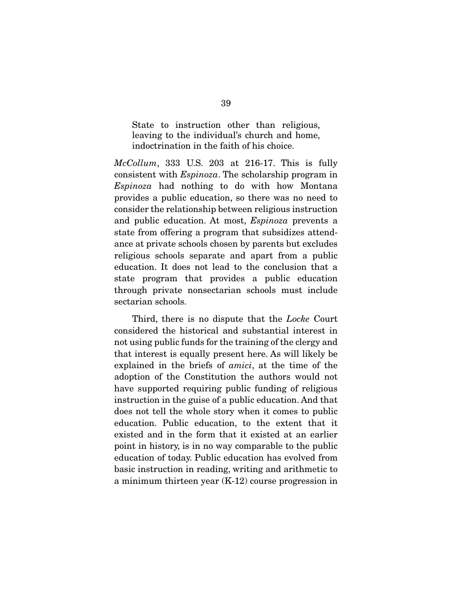State to instruction other than religious, leaving to the individual's church and home, indoctrination in the faith of his choice.

 $McCollum$ , 333 U.S. 203 at 216-17. This is fully consistent with Espinoza. The scholarship program in Espinoza had nothing to do with how Montana provides a public education, so there was no need to consider the relationship between religious instruction and public education. At most, Espinoza prevents a state from offering a program that subsidizes attendance at private schools chosen by parents but excludes religious schools separate and apart from a public education. It does not lead to the conclusion that a state program that provides a public education through private nonsectarian schools must include sectarian schools.

 Third, there is no dispute that the Locke Court considered the historical and substantial interest in not using public funds for the training of the clergy and that interest is equally present here. As will likely be explained in the briefs of amici, at the time of the adoption of the Constitution the authors would not have supported requiring public funding of religious instruction in the guise of a public education. And that does not tell the whole story when it comes to public education. Public education, to the extent that it existed and in the form that it existed at an earlier point in history, is in no way comparable to the public education of today. Public education has evolved from basic instruction in reading, writing and arithmetic to a minimum thirteen year (K-12) course progression in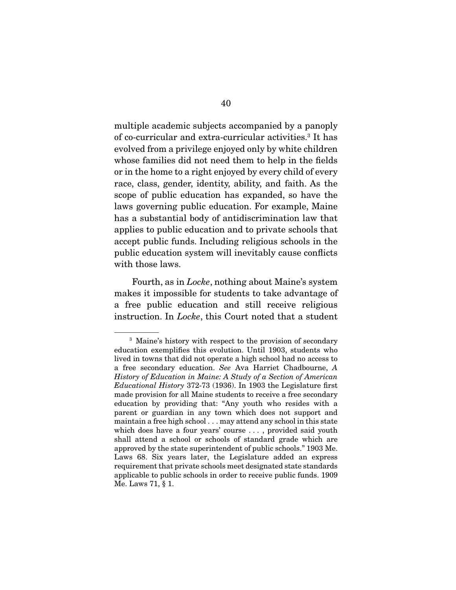multiple academic subjects accompanied by a panoply of co-curricular and extra-curricular activities.3 It has evolved from a privilege enjoyed only by white children whose families did not need them to help in the fields or in the home to a right enjoyed by every child of every race, class, gender, identity, ability, and faith. As the scope of public education has expanded, so have the laws governing public education. For example, Maine has a substantial body of antidiscrimination law that applies to public education and to private schools that accept public funds. Including religious schools in the public education system will inevitably cause conflicts with those laws.

 Fourth, as in Locke, nothing about Maine's system makes it impossible for students to take advantage of a free public education and still receive religious instruction. In *Locke*, this Court noted that a student

<sup>&</sup>lt;sup>3</sup> Maine's history with respect to the provision of secondary education exemplifies this evolution. Until 1903, students who lived in towns that did not operate a high school had no access to a free secondary education. See Ava Harriet Chadbourne, A History of Education in Maine: A Study of a Section of American Educational History 372-73 (1936). In 1903 the Legislature first made provision for all Maine students to receive a free secondary education by providing that: "Any youth who resides with a parent or guardian in any town which does not support and maintain a free high school . . . may attend any school in this state which does have a four years' course . . . , provided said youth shall attend a school or schools of standard grade which are approved by the state superintendent of public schools." 1903 Me. Laws 68. Six years later, the Legislature added an express requirement that private schools meet designated state standards applicable to public schools in order to receive public funds. 1909 Me. Laws 71, § 1.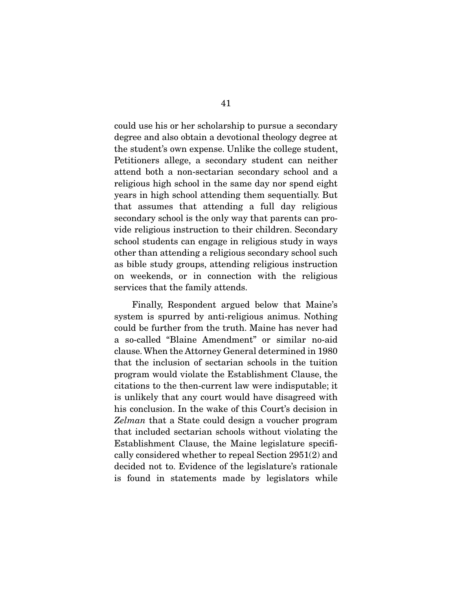could use his or her scholarship to pursue a secondary degree and also obtain a devotional theology degree at the student's own expense. Unlike the college student, Petitioners allege, a secondary student can neither attend both a non-sectarian secondary school and a religious high school in the same day nor spend eight years in high school attending them sequentially. But that assumes that attending a full day religious secondary school is the only way that parents can provide religious instruction to their children. Secondary school students can engage in religious study in ways other than attending a religious secondary school such as bible study groups, attending religious instruction on weekends, or in connection with the religious services that the family attends.

 Finally, Respondent argued below that Maine's system is spurred by anti-religious animus. Nothing could be further from the truth. Maine has never had a so-called "Blaine Amendment" or similar no-aid clause. When the Attorney General determined in 1980 that the inclusion of sectarian schools in the tuition program would violate the Establishment Clause, the citations to the then-current law were indisputable; it is unlikely that any court would have disagreed with his conclusion. In the wake of this Court's decision in Zelman that a State could design a voucher program that included sectarian schools without violating the Establishment Clause, the Maine legislature specifically considered whether to repeal Section 2951(2) and decided not to. Evidence of the legislature's rationale is found in statements made by legislators while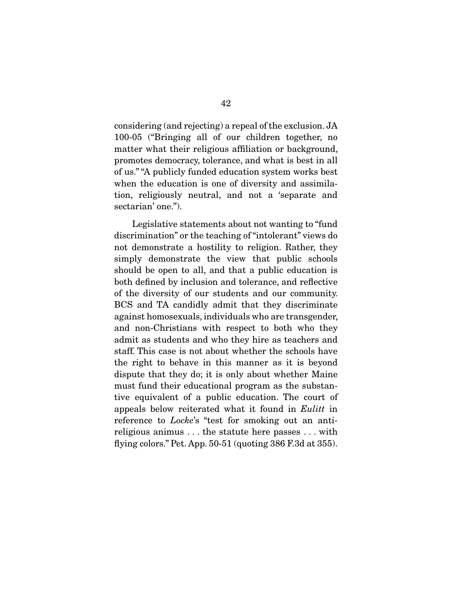considering (and rejecting) a repeal of the exclusion. JA 100-05 ("Bringing all of our children together, no matter what their religious affiliation or background, promotes democracy, tolerance, and what is best in all of us." "A publicly funded education system works best when the education is one of diversity and assimilation, religiously neutral, and not a 'separate and sectarian' one.").

 Legislative statements about not wanting to "fund discrimination" or the teaching of "intolerant" views do not demonstrate a hostility to religion. Rather, they simply demonstrate the view that public schools should be open to all, and that a public education is both defined by inclusion and tolerance, and reflective of the diversity of our students and our community. BCS and TA candidly admit that they discriminate against homosexuals, individuals who are transgender, and non-Christians with respect to both who they admit as students and who they hire as teachers and staff. This case is not about whether the schools have the right to behave in this manner as it is beyond dispute that they do; it is only about whether Maine must fund their educational program as the substantive equivalent of a public education. The court of appeals below reiterated what it found in Eulitt in reference to *Locke*'s "test for smoking out an antireligious animus . . . the statute here passes . . . with flying colors." Pet. App. 50-51 (quoting 386 F.3d at 355).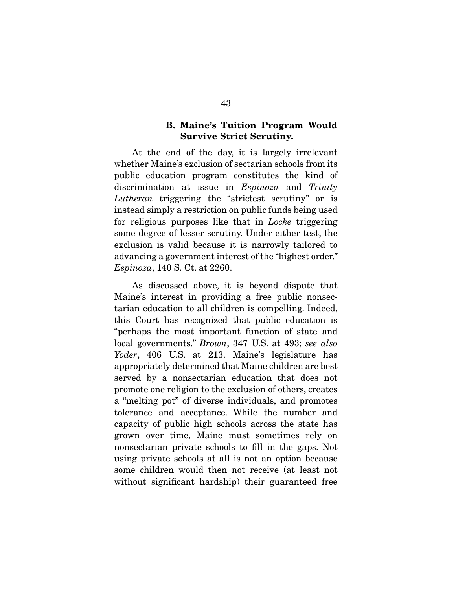### **B. Maine's Tuition Program Would Survive Strict Scrutiny.**

 At the end of the day, it is largely irrelevant whether Maine's exclusion of sectarian schools from its public education program constitutes the kind of discrimination at issue in *Espinoza* and *Trinity* Lutheran triggering the "strictest scrutiny" or is instead simply a restriction on public funds being used for religious purposes like that in *Locke* triggering some degree of lesser scrutiny. Under either test, the exclusion is valid because it is narrowly tailored to advancing a government interest of the "highest order." Espinoza, 140 S. Ct. at 2260.

 As discussed above, it is beyond dispute that Maine's interest in providing a free public nonsectarian education to all children is compelling. Indeed, this Court has recognized that public education is "perhaps the most important function of state and local governments." Brown, 347 U.S. at 493; see also Yoder, 406 U.S. at 213. Maine's legislature has appropriately determined that Maine children are best served by a nonsectarian education that does not promote one religion to the exclusion of others, creates a "melting pot" of diverse individuals, and promotes tolerance and acceptance. While the number and capacity of public high schools across the state has grown over time, Maine must sometimes rely on nonsectarian private schools to fill in the gaps. Not using private schools at all is not an option because some children would then not receive (at least not without significant hardship) their guaranteed free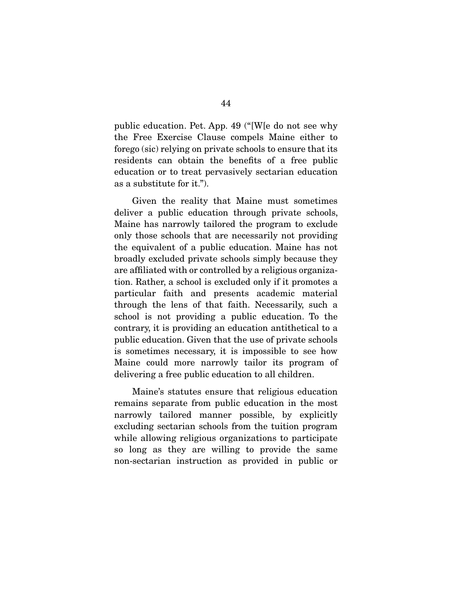public education. Pet. App. 49 ("[W[e do not see why the Free Exercise Clause compels Maine either to forego (sic) relying on private schools to ensure that its residents can obtain the benefits of a free public education or to treat pervasively sectarian education as a substitute for it.").

 Given the reality that Maine must sometimes deliver a public education through private schools, Maine has narrowly tailored the program to exclude only those schools that are necessarily not providing the equivalent of a public education. Maine has not broadly excluded private schools simply because they are affiliated with or controlled by a religious organization. Rather, a school is excluded only if it promotes a particular faith and presents academic material through the lens of that faith. Necessarily, such a school is not providing a public education. To the contrary, it is providing an education antithetical to a public education. Given that the use of private schools is sometimes necessary, it is impossible to see how Maine could more narrowly tailor its program of delivering a free public education to all children.

 Maine's statutes ensure that religious education remains separate from public education in the most narrowly tailored manner possible, by explicitly excluding sectarian schools from the tuition program while allowing religious organizations to participate so long as they are willing to provide the same non-sectarian instruction as provided in public or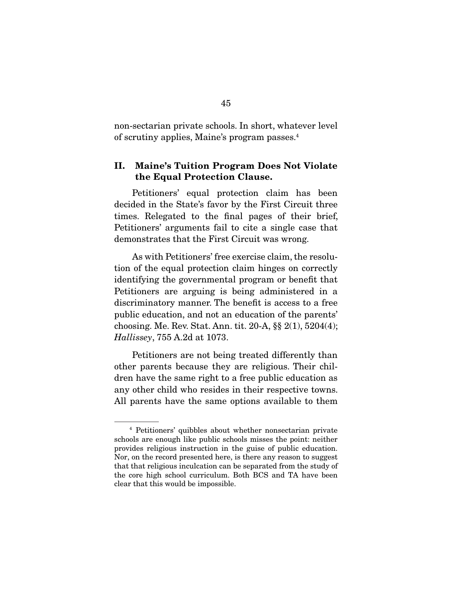non-sectarian private schools. In short, whatever level of scrutiny applies, Maine's program passes.4

### **II. Maine's Tuition Program Does Not Violate the Equal Protection Clause.**

 Petitioners' equal protection claim has been decided in the State's favor by the First Circuit three times. Relegated to the final pages of their brief, Petitioners' arguments fail to cite a single case that demonstrates that the First Circuit was wrong.

 As with Petitioners' free exercise claim, the resolution of the equal protection claim hinges on correctly identifying the governmental program or benefit that Petitioners are arguing is being administered in a discriminatory manner. The benefit is access to a free public education, and not an education of the parents' choosing. Me. Rev. Stat. Ann. tit. 20-A, §§ 2(1), 5204(4); Hallissey, 755 A.2d at 1073.

 Petitioners are not being treated differently than other parents because they are religious. Their children have the same right to a free public education as any other child who resides in their respective towns. All parents have the same options available to them

<sup>4</sup> Petitioners' quibbles about whether nonsectarian private schools are enough like public schools misses the point: neither provides religious instruction in the guise of public education. Nor, on the record presented here, is there any reason to suggest that that religious inculcation can be separated from the study of the core high school curriculum. Both BCS and TA have been clear that this would be impossible.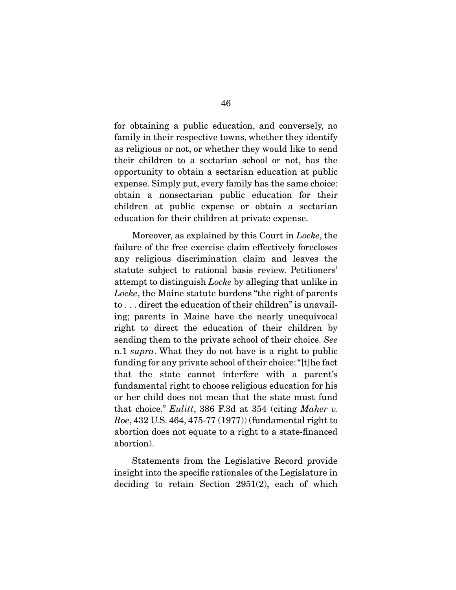for obtaining a public education, and conversely, no family in their respective towns, whether they identify as religious or not, or whether they would like to send their children to a sectarian school or not, has the opportunity to obtain a sectarian education at public expense. Simply put, every family has the same choice: obtain a nonsectarian public education for their children at public expense or obtain a sectarian education for their children at private expense.

 Moreover, as explained by this Court in Locke, the failure of the free exercise claim effectively forecloses any religious discrimination claim and leaves the statute subject to rational basis review. Petitioners' attempt to distinguish Locke by alleging that unlike in Locke, the Maine statute burdens "the right of parents" to . . . direct the education of their children" is unavailing; parents in Maine have the nearly unequivocal right to direct the education of their children by sending them to the private school of their choice. See n.1 *supra*. What they do not have is a right to public funding for any private school of their choice: "[t]he fact that the state cannot interfere with a parent's fundamental right to choose religious education for his or her child does not mean that the state must fund that choice." Eulitt, 386 F.3d at 354 (citing Maher v. Roe, 432 U.S. 464, 475-77 (1977)) (fundamental right to abortion does not equate to a right to a state-financed abortion).

 Statements from the Legislative Record provide insight into the specific rationales of the Legislature in deciding to retain Section 2951(2), each of which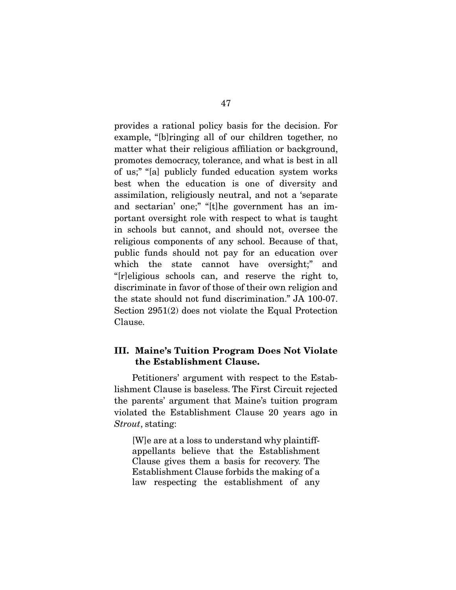provides a rational policy basis for the decision. For example, "[b]ringing all of our children together, no matter what their religious affiliation or background, promotes democracy, tolerance, and what is best in all of us;" "[a] publicly funded education system works best when the education is one of diversity and assimilation, religiously neutral, and not a 'separate and sectarian' one;" "[t]he government has an important oversight role with respect to what is taught in schools but cannot, and should not, oversee the religious components of any school. Because of that, public funds should not pay for an education over which the state cannot have oversight;" and "[r]eligious schools can, and reserve the right to, discriminate in favor of those of their own religion and the state should not fund discrimination." JA 100-07. Section 2951(2) does not violate the Equal Protection Clause.

### **III. Maine's Tuition Program Does Not Violate the Establishment Clause.**

 Petitioners' argument with respect to the Establishment Clause is baseless. The First Circuit rejected the parents' argument that Maine's tuition program violated the Establishment Clause 20 years ago in Strout, stating:

[W]e are at a loss to understand why plaintiffappellants believe that the Establishment Clause gives them a basis for recovery. The Establishment Clause forbids the making of a law respecting the establishment of any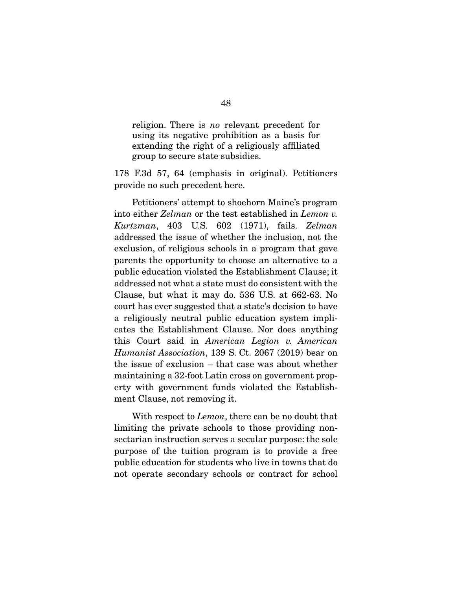religion. There is no relevant precedent for using its negative prohibition as a basis for extending the right of a religiously affiliated group to secure state subsidies.

178 F.3d 57, 64 (emphasis in original). Petitioners provide no such precedent here.

 Petitioners' attempt to shoehorn Maine's program into either Zelman or the test established in Lemon v. Kurtzman, 403 U.S. 602 (1971), fails. Zelman addressed the issue of whether the inclusion, not the exclusion, of religious schools in a program that gave parents the opportunity to choose an alternative to a public education violated the Establishment Clause; it addressed not what a state must do consistent with the Clause, but what it may do. 536 U.S. at 662-63. No court has ever suggested that a state's decision to have a religiously neutral public education system implicates the Establishment Clause. Nor does anything this Court said in American Legion v. American Humanist Association, 139 S. Ct. 2067 (2019) bear on the issue of exclusion – that case was about whether maintaining a 32-foot Latin cross on government property with government funds violated the Establishment Clause, not removing it.

With respect to *Lemon*, there can be no doubt that limiting the private schools to those providing nonsectarian instruction serves a secular purpose: the sole purpose of the tuition program is to provide a free public education for students who live in towns that do not operate secondary schools or contract for school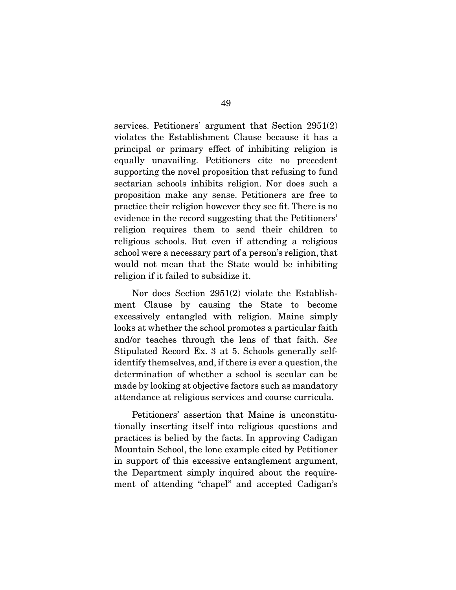services. Petitioners' argument that Section 2951(2) violates the Establishment Clause because it has a principal or primary effect of inhibiting religion is equally unavailing. Petitioners cite no precedent supporting the novel proposition that refusing to fund sectarian schools inhibits religion. Nor does such a proposition make any sense. Petitioners are free to practice their religion however they see fit. There is no evidence in the record suggesting that the Petitioners' religion requires them to send their children to religious schools. But even if attending a religious school were a necessary part of a person's religion, that would not mean that the State would be inhibiting religion if it failed to subsidize it.

 Nor does Section 2951(2) violate the Establishment Clause by causing the State to become excessively entangled with religion. Maine simply looks at whether the school promotes a particular faith and/or teaches through the lens of that faith. See Stipulated Record Ex. 3 at 5. Schools generally selfidentify themselves, and, if there is ever a question, the determination of whether a school is secular can be made by looking at objective factors such as mandatory attendance at religious services and course curricula.

 Petitioners' assertion that Maine is unconstitutionally inserting itself into religious questions and practices is belied by the facts. In approving Cadigan Mountain School, the lone example cited by Petitioner in support of this excessive entanglement argument, the Department simply inquired about the requirement of attending "chapel" and accepted Cadigan's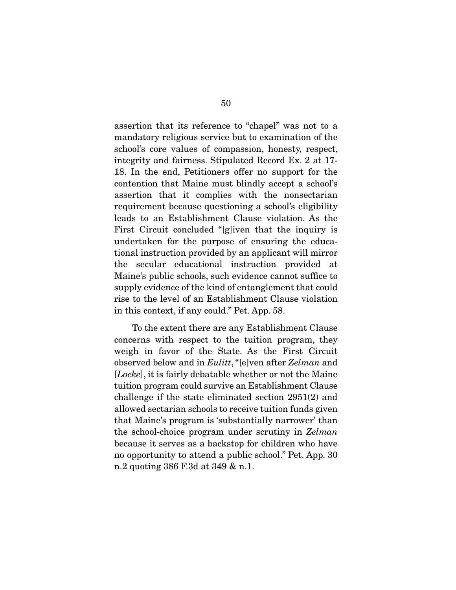assertion that its reference to "chapel" was not to a mandatory religious service but to examination of the school's core values of compassion, honesty, respect, integrity and fairness. Stipulated Record Ex. 2 at 17- 18. In the end, Petitioners offer no support for the contention that Maine must blindly accept a school's assertion that it complies with the nonsectarian requirement because questioning a school's eligibility leads to an Establishment Clause violation. As the First Circuit concluded "[g]iven that the inquiry is undertaken for the purpose of ensuring the educational instruction provided by an applicant will mirror the secular educational instruction provided at Maine's public schools, such evidence cannot suffice to supply evidence of the kind of entanglement that could rise to the level of an Establishment Clause violation in this context, if any could." Pet. App. 58.

 To the extent there are any Establishment Clause concerns with respect to the tuition program, they weigh in favor of the State. As the First Circuit observed below and in Eulitt, "[e]ven after Zelman and [Locke], it is fairly debatable whether or not the Maine tuition program could survive an Establishment Clause challenge if the state eliminated section 2951(2) and allowed sectarian schools to receive tuition funds given that Maine's program is 'substantially narrower' than the school-choice program under scrutiny in Zelman because it serves as a backstop for children who have no opportunity to attend a public school." Pet. App. 30 n.2 quoting 386 F.3d at 349 & n.1.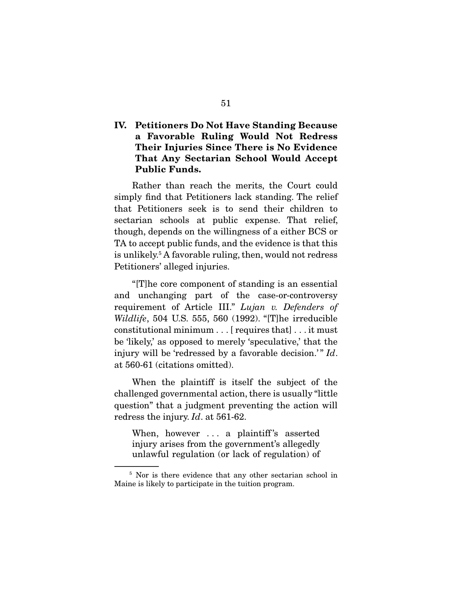## **IV. Petitioners Do Not Have Standing Because a Favorable Ruling Would Not Redress Their Injuries Since There is No Evidence That Any Sectarian School Would Accept Public Funds.**

 Rather than reach the merits, the Court could simply find that Petitioners lack standing. The relief that Petitioners seek is to send their children to sectarian schools at public expense. That relief, though, depends on the willingness of a either BCS or TA to accept public funds, and the evidence is that this is unlikely.5 A favorable ruling, then, would not redress Petitioners' alleged injuries.

 "[T]he core component of standing is an essential and unchanging part of the case-or-controversy requirement of Article III." Lujan v. Defenders of Wildlife, 504 U.S. 555, 560 (1992). "[T]he irreducible constitutional minimum . . . [ requires that] . . . it must be 'likely,' as opposed to merely 'speculative,' that the injury will be 'redressed by a favorable decision.'"  $Id$ . at 560-61 (citations omitted).

 When the plaintiff is itself the subject of the challenged governmental action, there is usually "little question" that a judgment preventing the action will redress the injury. Id. at 561-62.

When, however ... a plaintiff's asserted injury arises from the government's allegedly unlawful regulation (or lack of regulation) of

<sup>&</sup>lt;sup>5</sup> Nor is there evidence that any other sectarian school in Maine is likely to participate in the tuition program.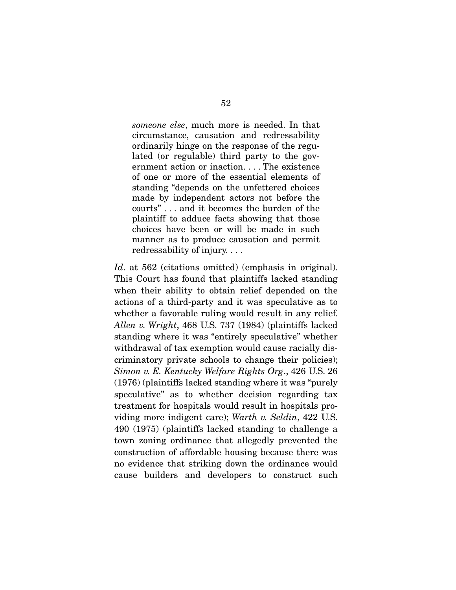someone else, much more is needed. In that circumstance, causation and redressability ordinarily hinge on the response of the regulated (or regulable) third party to the government action or inaction. . . . The existence of one or more of the essential elements of standing "depends on the unfettered choices made by independent actors not before the courts" . . . and it becomes the burden of the plaintiff to adduce facts showing that those choices have been or will be made in such manner as to produce causation and permit redressability of injury. . . .

Id. at 562 (citations omitted) (emphasis in original). This Court has found that plaintiffs lacked standing when their ability to obtain relief depended on the actions of a third-party and it was speculative as to whether a favorable ruling would result in any relief. Allen v. Wright, 468 U.S. 737 (1984) (plaintiffs lacked standing where it was "entirely speculative" whether withdrawal of tax exemption would cause racially discriminatory private schools to change their policies); Simon v. E. Kentucky Welfare Rights Org., 426 U.S. 26 (1976) (plaintiffs lacked standing where it was "purely speculative" as to whether decision regarding tax treatment for hospitals would result in hospitals providing more indigent care); Warth v. Seldin, 422 U.S. 490 (1975) (plaintiffs lacked standing to challenge a town zoning ordinance that allegedly prevented the construction of affordable housing because there was no evidence that striking down the ordinance would cause builders and developers to construct such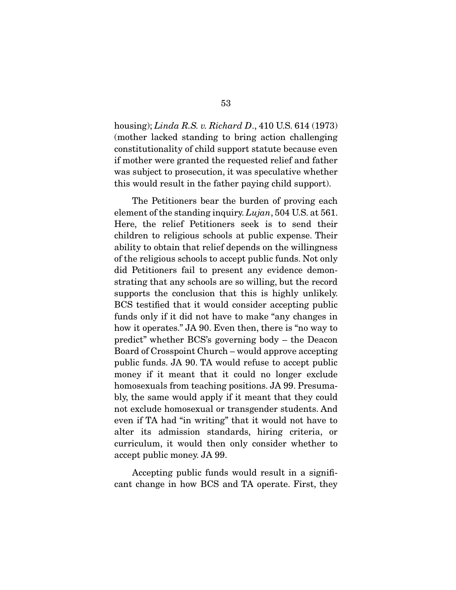housing); *Linda R.S. v. Richard D.*, 410 U.S. 614 (1973) (mother lacked standing to bring action challenging constitutionality of child support statute because even if mother were granted the requested relief and father was subject to prosecution, it was speculative whether this would result in the father paying child support).

 The Petitioners bear the burden of proving each element of the standing inquiry. Lujan, 504 U.S. at 561. Here, the relief Petitioners seek is to send their children to religious schools at public expense. Their ability to obtain that relief depends on the willingness of the religious schools to accept public funds. Not only did Petitioners fail to present any evidence demonstrating that any schools are so willing, but the record supports the conclusion that this is highly unlikely. BCS testified that it would consider accepting public funds only if it did not have to make "any changes in how it operates." JA 90. Even then, there is "no way to predict" whether BCS's governing body – the Deacon Board of Crosspoint Church – would approve accepting public funds. JA 90. TA would refuse to accept public money if it meant that it could no longer exclude homosexuals from teaching positions. JA 99. Presumably, the same would apply if it meant that they could not exclude homosexual or transgender students. And even if TA had "in writing" that it would not have to alter its admission standards, hiring criteria, or curriculum, it would then only consider whether to accept public money. JA 99.

 Accepting public funds would result in a significant change in how BCS and TA operate. First, they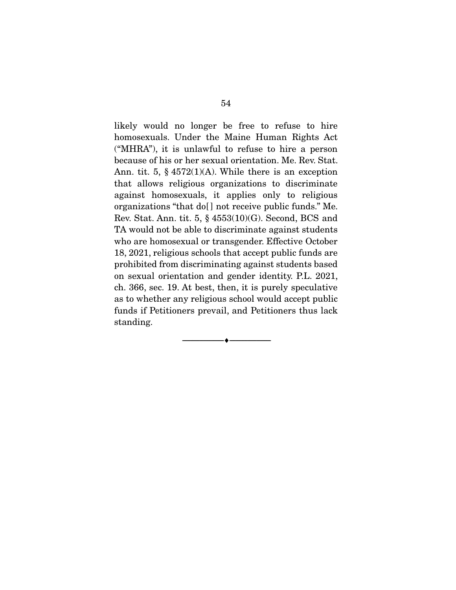likely would no longer be free to refuse to hire homosexuals. Under the Maine Human Rights Act ("MHRA"), it is unlawful to refuse to hire a person because of his or her sexual orientation. Me. Rev. Stat. Ann. tit. 5,  $\S$  4572(1)(A). While there is an exception that allows religious organizations to discriminate against homosexuals, it applies only to religious organizations "that do[ ] not receive public funds." Me. Rev. Stat. Ann. tit.  $5, \S~4553(10)(G)$ . Second, BCS and TA would not be able to discriminate against students who are homosexual or transgender. Effective October 18, 2021, religious schools that accept public funds are prohibited from discriminating against students based on sexual orientation and gender identity. P.L. 2021, ch. 366, sec. 19. At best, then, it is purely speculative as to whether any religious school would accept public funds if Petitioners prevail, and Petitioners thus lack standing.

 $\overbrace{\hspace{2.5cm}}^{\bullet}$   $\overbrace{\hspace{2.5cm}}^{\bullet}$